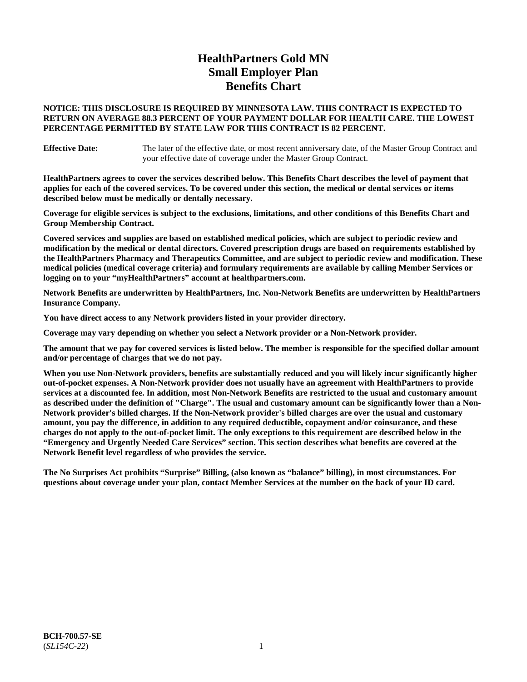# **HealthPartners Gold MN Small Employer Plan Benefits Chart**

### **NOTICE: THIS DISCLOSURE IS REQUIRED BY MINNESOTA LAW. THIS CONTRACT IS EXPECTED TO RETURN ON AVERAGE 88.3 PERCENT OF YOUR PAYMENT DOLLAR FOR HEALTH CARE. THE LOWEST PERCENTAGE PERMITTED BY STATE LAW FOR THIS CONTRACT IS 82 PERCENT.**

**Effective Date:** The later of the effective date, or most recent anniversary date, of the Master Group Contract and your effective date of coverage under the Master Group Contract.

**HealthPartners agrees to cover the services described below. This Benefits Chart describes the level of payment that applies for each of the covered services. To be covered under this section, the medical or dental services or items described below must be medically or dentally necessary.**

**Coverage for eligible services is subject to the exclusions, limitations, and other conditions of this Benefits Chart and Group Membership Contract.**

**Covered services and supplies are based on established medical policies, which are subject to periodic review and modification by the medical or dental directors. Covered prescription drugs are based on requirements established by the HealthPartners Pharmacy and Therapeutics Committee, and are subject to periodic review and modification. These medical policies (medical coverage criteria) and formulary requirements are available by calling Member Services or logging on to your "myHealthPartners" account at [healthpartners.com.](https://www.healthpartners.com/hp/index.html)**

**Network Benefits are underwritten by HealthPartners, Inc. Non-Network Benefits are underwritten by HealthPartners Insurance Company.** 

**You have direct access to any Network providers listed in your provider directory.**

**Coverage may vary depending on whether you select a Network provider or a Non-Network provider.**

**The amount that we pay for covered services is listed below. The member is responsible for the specified dollar amount and/or percentage of charges that we do not pay.**

**When you use Non-Network providers, benefits are substantially reduced and you will likely incur significantly higher out-of-pocket expenses. A Non-Network provider does not usually have an agreement with HealthPartners to provide services at a discounted fee. In addition, most Non-Network Benefits are restricted to the usual and customary amount as described under the definition of "Charge". The usual and customary amount can be significantly lower than a Non-Network provider's billed charges. If the Non-Network provider's billed charges are over the usual and customary amount, you pay the difference, in addition to any required deductible, copayment and/or coinsurance, and these charges do not apply to the out-of-pocket limit. The only exceptions to this requirement are described below in the "Emergency and Urgently Needed Care Services" section. This section describes what benefits are covered at the Network Benefit level regardless of who provides the service.**

**The No Surprises Act prohibits "Surprise" Billing, (also known as "balance" billing), in most circumstances. For questions about coverage under your plan, contact Member Services at the number on the back of your ID card.**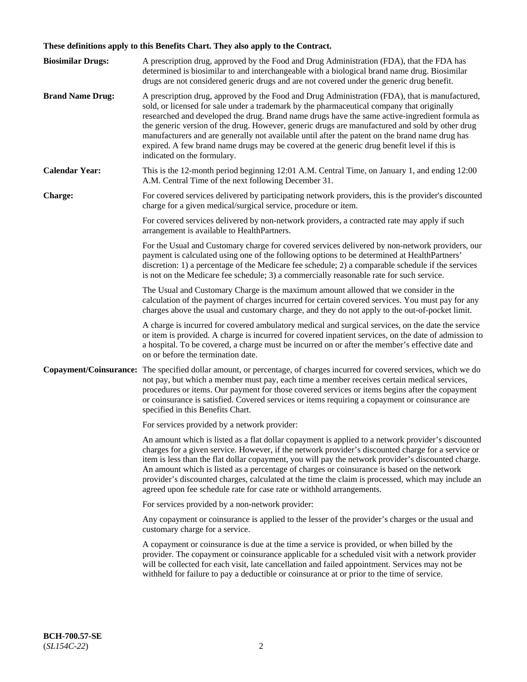# **These definitions apply to this Benefits Chart. They also apply to the Contract.**

| <b>Biosimilar Drugs:</b> | A prescription drug, approved by the Food and Drug Administration (FDA), that the FDA has<br>determined is biosimilar to and interchangeable with a biological brand name drug. Biosimilar<br>drugs are not considered generic drugs and are not covered under the generic drug benefit.                                                                                                                                                                                                                                                                                                                                           |
|--------------------------|------------------------------------------------------------------------------------------------------------------------------------------------------------------------------------------------------------------------------------------------------------------------------------------------------------------------------------------------------------------------------------------------------------------------------------------------------------------------------------------------------------------------------------------------------------------------------------------------------------------------------------|
| <b>Brand Name Drug:</b>  | A prescription drug, approved by the Food and Drug Administration (FDA), that is manufactured,<br>sold, or licensed for sale under a trademark by the pharmaceutical company that originally<br>researched and developed the drug. Brand name drugs have the same active-ingredient formula as<br>the generic version of the drug. However, generic drugs are manufactured and sold by other drug<br>manufacturers and are generally not available until after the patent on the brand name drug has<br>expired. A few brand name drugs may be covered at the generic drug benefit level if this is<br>indicated on the formulary. |
| <b>Calendar Year:</b>    | This is the 12-month period beginning 12:01 A.M. Central Time, on January 1, and ending 12:00<br>A.M. Central Time of the next following December 31.                                                                                                                                                                                                                                                                                                                                                                                                                                                                              |
| <b>Charge:</b>           | For covered services delivered by participating network providers, this is the provider's discounted<br>charge for a given medical/surgical service, procedure or item.                                                                                                                                                                                                                                                                                                                                                                                                                                                            |
|                          | For covered services delivered by non-network providers, a contracted rate may apply if such<br>arrangement is available to HealthPartners.                                                                                                                                                                                                                                                                                                                                                                                                                                                                                        |
|                          | For the Usual and Customary charge for covered services delivered by non-network providers, our<br>payment is calculated using one of the following options to be determined at HealthPartners'<br>discretion: 1) a percentage of the Medicare fee schedule; 2) a comparable schedule if the services<br>is not on the Medicare fee schedule; 3) a commercially reasonable rate for such service.                                                                                                                                                                                                                                  |
|                          | The Usual and Customary Charge is the maximum amount allowed that we consider in the<br>calculation of the payment of charges incurred for certain covered services. You must pay for any<br>charges above the usual and customary charge, and they do not apply to the out-of-pocket limit.                                                                                                                                                                                                                                                                                                                                       |
|                          | A charge is incurred for covered ambulatory medical and surgical services, on the date the service<br>or item is provided. A charge is incurred for covered inpatient services, on the date of admission to<br>a hospital. To be covered, a charge must be incurred on or after the member's effective date and<br>on or before the termination date.                                                                                                                                                                                                                                                                              |
| Copayment/Coinsurance:   | The specified dollar amount, or percentage, of charges incurred for covered services, which we do<br>not pay, but which a member must pay, each time a member receives certain medical services,<br>procedures or items. Our payment for those covered services or items begins after the copayment<br>or coinsurance is satisfied. Covered services or items requiring a copayment or coinsurance are<br>specified in this Benefits Chart.                                                                                                                                                                                        |
|                          | For services provided by a network provider:                                                                                                                                                                                                                                                                                                                                                                                                                                                                                                                                                                                       |
|                          | An amount which is listed as a flat dollar copayment is applied to a network provider's discounted<br>charges for a given service. However, if the network provider's discounted charge for a service or<br>item is less than the flat dollar copayment, you will pay the network provider's discounted charge.<br>An amount which is listed as a percentage of charges or coinsurance is based on the network<br>provider's discounted charges, calculated at the time the claim is processed, which may include an<br>agreed upon fee schedule rate for case rate or withhold arrangements.                                      |
|                          | For services provided by a non-network provider:                                                                                                                                                                                                                                                                                                                                                                                                                                                                                                                                                                                   |
|                          | Any copayment or coinsurance is applied to the lesser of the provider's charges or the usual and<br>customary charge for a service.                                                                                                                                                                                                                                                                                                                                                                                                                                                                                                |
|                          | A copayment or coinsurance is due at the time a service is provided, or when billed by the<br>provider. The copayment or coinsurance applicable for a scheduled visit with a network provider<br>will be collected for each visit, late cancellation and failed appointment. Services may not be<br>withheld for failure to pay a deductible or coinsurance at or prior to the time of service.                                                                                                                                                                                                                                    |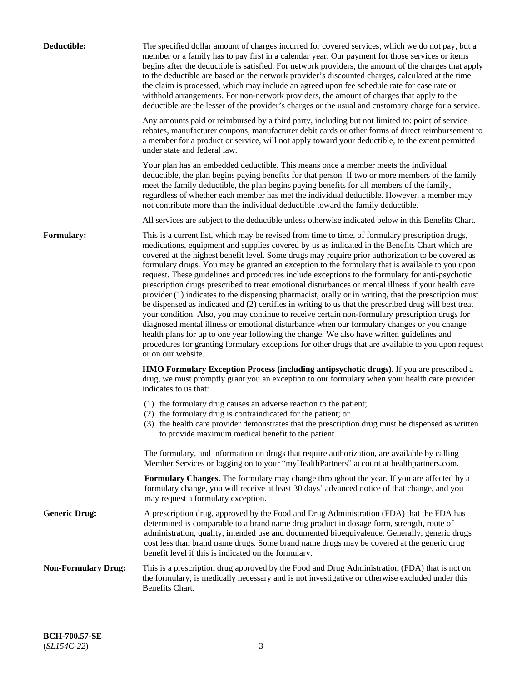| Deductible:                | The specified dollar amount of charges incurred for covered services, which we do not pay, but a<br>member or a family has to pay first in a calendar year. Our payment for those services or items<br>begins after the deductible is satisfied. For network providers, the amount of the charges that apply<br>to the deductible are based on the network provider's discounted charges, calculated at the time<br>the claim is processed, which may include an agreed upon fee schedule rate for case rate or<br>withhold arrangements. For non-network providers, the amount of charges that apply to the<br>deductible are the lesser of the provider's charges or the usual and customary charge for a service.                                                                                                                                                                                                                                                                                                                                                                                                                                                                                                                                             |
|----------------------------|------------------------------------------------------------------------------------------------------------------------------------------------------------------------------------------------------------------------------------------------------------------------------------------------------------------------------------------------------------------------------------------------------------------------------------------------------------------------------------------------------------------------------------------------------------------------------------------------------------------------------------------------------------------------------------------------------------------------------------------------------------------------------------------------------------------------------------------------------------------------------------------------------------------------------------------------------------------------------------------------------------------------------------------------------------------------------------------------------------------------------------------------------------------------------------------------------------------------------------------------------------------|
|                            | Any amounts paid or reimbursed by a third party, including but not limited to: point of service<br>rebates, manufacturer coupons, manufacturer debit cards or other forms of direct reimbursement to<br>a member for a product or service, will not apply toward your deductible, to the extent permitted<br>under state and federal law.                                                                                                                                                                                                                                                                                                                                                                                                                                                                                                                                                                                                                                                                                                                                                                                                                                                                                                                        |
|                            | Your plan has an embedded deductible. This means once a member meets the individual<br>deductible, the plan begins paying benefits for that person. If two or more members of the family<br>meet the family deductible, the plan begins paying benefits for all members of the family,<br>regardless of whether each member has met the individual deductible. However, a member may<br>not contribute more than the individual deductible toward the family deductible.                                                                                                                                                                                                                                                                                                                                                                                                                                                                                                                                                                                                                                                                                                                                                                                         |
|                            | All services are subject to the deductible unless otherwise indicated below in this Benefits Chart.                                                                                                                                                                                                                                                                                                                                                                                                                                                                                                                                                                                                                                                                                                                                                                                                                                                                                                                                                                                                                                                                                                                                                              |
| Formulary:                 | This is a current list, which may be revised from time to time, of formulary prescription drugs,<br>medications, equipment and supplies covered by us as indicated in the Benefits Chart which are<br>covered at the highest benefit level. Some drugs may require prior authorization to be covered as<br>formulary drugs. You may be granted an exception to the formulary that is available to you upon<br>request. These guidelines and procedures include exceptions to the formulary for anti-psychotic<br>prescription drugs prescribed to treat emotional disturbances or mental illness if your health care<br>provider (1) indicates to the dispensing pharmacist, orally or in writing, that the prescription must<br>be dispensed as indicated and (2) certifies in writing to us that the prescribed drug will best treat<br>your condition. Also, you may continue to receive certain non-formulary prescription drugs for<br>diagnosed mental illness or emotional disturbance when our formulary changes or you change<br>health plans for up to one year following the change. We also have written guidelines and<br>procedures for granting formulary exceptions for other drugs that are available to you upon request<br>or on our website. |
|                            | HMO Formulary Exception Process (including antipsychotic drugs). If you are prescribed a<br>drug, we must promptly grant you an exception to our formulary when your health care provider<br>indicates to us that:                                                                                                                                                                                                                                                                                                                                                                                                                                                                                                                                                                                                                                                                                                                                                                                                                                                                                                                                                                                                                                               |
|                            | (1) the formulary drug causes an adverse reaction to the patient;<br>(2) the formulary drug is contraindicated for the patient; or<br>(3) the health care provider demonstrates that the prescription drug must be dispensed as written<br>to provide maximum medical benefit to the patient.                                                                                                                                                                                                                                                                                                                                                                                                                                                                                                                                                                                                                                                                                                                                                                                                                                                                                                                                                                    |
|                            | The formulary, and information on drugs that require authorization, are available by calling<br>Member Services or logging on to your "myHealthPartners" account at healthpartners.com.                                                                                                                                                                                                                                                                                                                                                                                                                                                                                                                                                                                                                                                                                                                                                                                                                                                                                                                                                                                                                                                                          |
|                            | Formulary Changes. The formulary may change throughout the year. If you are affected by a<br>formulary change, you will receive at least 30 days' advanced notice of that change, and you<br>may request a formulary exception.                                                                                                                                                                                                                                                                                                                                                                                                                                                                                                                                                                                                                                                                                                                                                                                                                                                                                                                                                                                                                                  |
| <b>Generic Drug:</b>       | A prescription drug, approved by the Food and Drug Administration (FDA) that the FDA has<br>determined is comparable to a brand name drug product in dosage form, strength, route of<br>administration, quality, intended use and documented bioequivalence. Generally, generic drugs<br>cost less than brand name drugs. Some brand name drugs may be covered at the generic drug<br>benefit level if this is indicated on the formulary.                                                                                                                                                                                                                                                                                                                                                                                                                                                                                                                                                                                                                                                                                                                                                                                                                       |
| <b>Non-Formulary Drug:</b> | This is a prescription drug approved by the Food and Drug Administration (FDA) that is not on<br>the formulary, is medically necessary and is not investigative or otherwise excluded under this<br>Benefits Chart.                                                                                                                                                                                                                                                                                                                                                                                                                                                                                                                                                                                                                                                                                                                                                                                                                                                                                                                                                                                                                                              |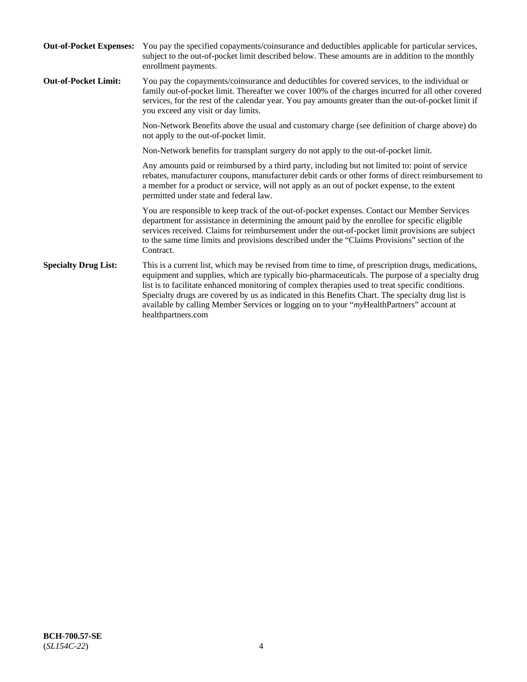| <b>Out-of-Pocket Expenses:</b> | You pay the specified copayments/coinsurance and deductibles applicable for particular services,<br>subject to the out-of-pocket limit described below. These amounts are in addition to the monthly<br>enrollment payments.                                                                                                                                                                                                                                                                                                        |
|--------------------------------|-------------------------------------------------------------------------------------------------------------------------------------------------------------------------------------------------------------------------------------------------------------------------------------------------------------------------------------------------------------------------------------------------------------------------------------------------------------------------------------------------------------------------------------|
| <b>Out-of-Pocket Limit:</b>    | You pay the copayments/coinsurance and deductibles for covered services, to the individual or<br>family out-of-pocket limit. Thereafter we cover 100% of the charges incurred for all other covered<br>services, for the rest of the calendar year. You pay amounts greater than the out-of-pocket limit if<br>you exceed any visit or day limits.                                                                                                                                                                                  |
|                                | Non-Network Benefits above the usual and customary charge (see definition of charge above) do<br>not apply to the out-of-pocket limit.                                                                                                                                                                                                                                                                                                                                                                                              |
|                                | Non-Network benefits for transplant surgery do not apply to the out-of-pocket limit.                                                                                                                                                                                                                                                                                                                                                                                                                                                |
|                                | Any amounts paid or reimbursed by a third party, including but not limited to: point of service<br>rebates, manufacturer coupons, manufacturer debit cards or other forms of direct reimbursement to<br>a member for a product or service, will not apply as an out of pocket expense, to the extent<br>permitted under state and federal law.                                                                                                                                                                                      |
|                                | You are responsible to keep track of the out-of-pocket expenses. Contact our Member Services<br>department for assistance in determining the amount paid by the enrollee for specific eligible<br>services received. Claims for reimbursement under the out-of-pocket limit provisions are subject<br>to the same time limits and provisions described under the "Claims Provisions" section of the<br>Contract.                                                                                                                    |
| <b>Specialty Drug List:</b>    | This is a current list, which may be revised from time to time, of prescription drugs, medications,<br>equipment and supplies, which are typically bio-pharmaceuticals. The purpose of a specialty drug<br>list is to facilitate enhanced monitoring of complex therapies used to treat specific conditions.<br>Specialty drugs are covered by us as indicated in this Benefits Chart. The specialty drug list is<br>available by calling Member Services or logging on to your "myHealthPartners" account at<br>healthpartners.com |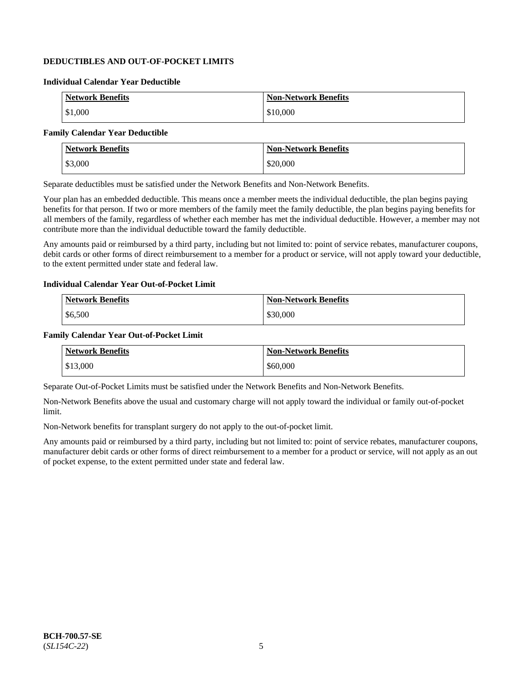## **DEDUCTIBLES AND OUT-OF-POCKET LIMITS**

### **Individual Calendar Year Deductible**

| <b>Network Benefits</b> | <b>Non-Network Benefits</b> |
|-------------------------|-----------------------------|
| \$1,000                 | \$10,000                    |

### **Family Calendar Year Deductible**

| <b>Network Benefits</b> | <b>Non-Network Benefits</b> |
|-------------------------|-----------------------------|
| \$3,000                 | \$20,000                    |

Separate deductibles must be satisfied under the Network Benefits and Non-Network Benefits.

Your plan has an embedded deductible. This means once a member meets the individual deductible, the plan begins paying benefits for that person. If two or more members of the family meet the family deductible, the plan begins paying benefits for all members of the family, regardless of whether each member has met the individual deductible. However, a member may not contribute more than the individual deductible toward the family deductible.

Any amounts paid or reimbursed by a third party, including but not limited to: point of service rebates, manufacturer coupons, debit cards or other forms of direct reimbursement to a member for a product or service, will not apply toward your deductible, to the extent permitted under state and federal law.

#### **Individual Calendar Year Out-of-Pocket Limit**

| <b>Network Benefits</b> | <b>Non-Network Benefits</b> |
|-------------------------|-----------------------------|
| \$6,500                 | \$30,000                    |

#### **Family Calendar Year Out-of-Pocket Limit**

| <b>Network Benefits</b> | Non-Network Benefits |
|-------------------------|----------------------|
| \$13,000                | \$60,000             |

Separate Out-of-Pocket Limits must be satisfied under the Network Benefits and Non-Network Benefits.

Non-Network Benefits above the usual and customary charge will not apply toward the individual or family out-of-pocket limit.

Non-Network benefits for transplant surgery do not apply to the out-of-pocket limit.

Any amounts paid or reimbursed by a third party, including but not limited to: point of service rebates, manufacturer coupons, manufacturer debit cards or other forms of direct reimbursement to a member for a product or service, will not apply as an out of pocket expense, to the extent permitted under state and federal law.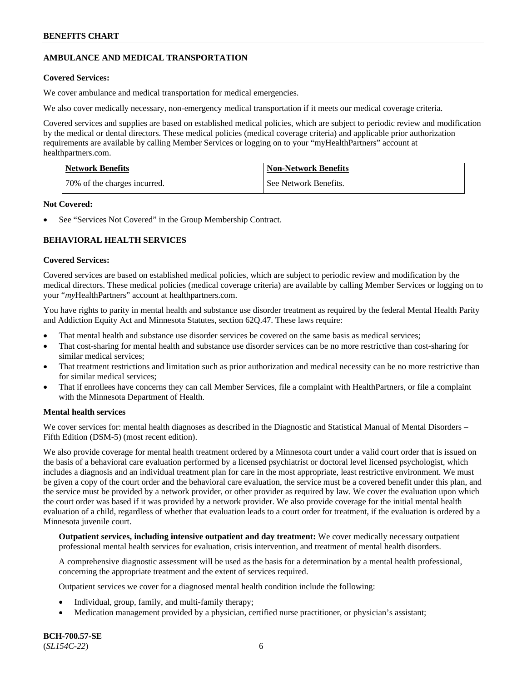## **AMBULANCE AND MEDICAL TRANSPORTATION**

## **Covered Services:**

We cover ambulance and medical transportation for medical emergencies.

We also cover medically necessary, non-emergency medical transportation if it meets our medical coverage criteria.

Covered services and supplies are based on established medical policies, which are subject to periodic review and modification by the medical or dental directors. These medical policies (medical coverage criteria) and applicable prior authorization requirements are available by calling Member Services or logging on to your "myHealthPartners" account at [healthpartners.com.](https://www.healthpartners.com/hp/index.html)

| <b>Network Benefits</b>      | <b>Non-Network Benefits</b> |
|------------------------------|-----------------------------|
| 70% of the charges incurred. | See Network Benefits.       |

### **Not Covered:**

See "Services Not Covered" in the Group Membership Contract.

## **BEHAVIORAL HEALTH SERVICES**

## **Covered Services:**

Covered services are based on established medical policies, which are subject to periodic review and modification by the medical directors. These medical policies (medical coverage criteria) are available by calling Member Services or logging on to your "*my*HealthPartners" account at [healthpartners.com.](http://www.healthpartners.com/)

You have rights to parity in mental health and substance use disorder treatment as required by the federal Mental Health Parity and Addiction Equity Act and Minnesota Statutes, section 62Q.47. These laws require:

- That mental health and substance use disorder services be covered on the same basis as medical services;
- That cost-sharing for mental health and substance use disorder services can be no more restrictive than cost-sharing for similar medical services;
- That treatment restrictions and limitation such as prior authorization and medical necessity can be no more restrictive than for similar medical services;
- That if enrollees have concerns they can call Member Services, file a complaint with HealthPartners, or file a complaint with the Minnesota Department of Health.

### **Mental health services**

We cover services for: mental health diagnoses as described in the Diagnostic and Statistical Manual of Mental Disorders – Fifth Edition (DSM-5) (most recent edition).

We also provide coverage for mental health treatment ordered by a Minnesota court under a valid court order that is issued on the basis of a behavioral care evaluation performed by a licensed psychiatrist or doctoral level licensed psychologist, which includes a diagnosis and an individual treatment plan for care in the most appropriate, least restrictive environment. We must be given a copy of the court order and the behavioral care evaluation, the service must be a covered benefit under this plan, and the service must be provided by a network provider, or other provider as required by law. We cover the evaluation upon which the court order was based if it was provided by a network provider. We also provide coverage for the initial mental health evaluation of a child, regardless of whether that evaluation leads to a court order for treatment, if the evaluation is ordered by a Minnesota juvenile court.

**Outpatient services, including intensive outpatient and day treatment:** We cover medically necessary outpatient professional mental health services for evaluation, crisis intervention, and treatment of mental health disorders.

A comprehensive diagnostic assessment will be used as the basis for a determination by a mental health professional, concerning the appropriate treatment and the extent of services required.

Outpatient services we cover for a diagnosed mental health condition include the following:

- Individual, group, family, and multi-family therapy;
- Medication management provided by a physician, certified nurse practitioner, or physician's assistant;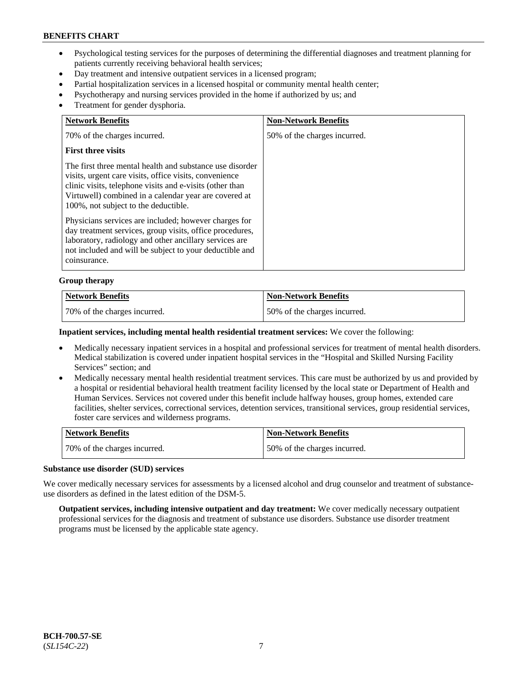- Psychological testing services for the purposes of determining the differential diagnoses and treatment planning for patients currently receiving behavioral health services;
- Day treatment and intensive outpatient services in a licensed program;
- Partial hospitalization services in a licensed hospital or community mental health center;
- Psychotherapy and nursing services provided in the home if authorized by us; and
- Treatment for gender dysphoria.

| <b>Network Benefits</b>                                                                                                                                                                                                                                                         | <b>Non-Network Benefits</b>  |
|---------------------------------------------------------------------------------------------------------------------------------------------------------------------------------------------------------------------------------------------------------------------------------|------------------------------|
| 70% of the charges incurred.                                                                                                                                                                                                                                                    | 50% of the charges incurred. |
| <b>First three visits</b>                                                                                                                                                                                                                                                       |                              |
| The first three mental health and substance use disorder<br>visits, urgent care visits, office visits, convenience<br>clinic visits, telephone visits and e-visits (other than<br>Virtuwell) combined in a calendar year are covered at<br>100%, not subject to the deductible. |                              |
| Physicians services are included; however charges for<br>day treatment services, group visits, office procedures,<br>laboratory, radiology and other ancillary services are<br>not included and will be subject to your deductible and<br>coinsurance.                          |                              |

#### **Group therapy**

| <b>Network Benefits</b>      | <b>Non-Network Benefits</b>  |
|------------------------------|------------------------------|
| 70% of the charges incurred. | 50% of the charges incurred. |

#### **Inpatient services, including mental health residential treatment services:** We cover the following:

- Medically necessary inpatient services in a hospital and professional services for treatment of mental health disorders. Medical stabilization is covered under inpatient hospital services in the "Hospital and Skilled Nursing Facility Services" section; and
- Medically necessary mental health residential treatment services. This care must be authorized by us and provided by a hospital or residential behavioral health treatment facility licensed by the local state or Department of Health and Human Services. Services not covered under this benefit include halfway houses, group homes, extended care facilities, shelter services, correctional services, detention services, transitional services, group residential services, foster care services and wilderness programs.

| Network Benefits             | Non-Network Benefits         |
|------------------------------|------------------------------|
| 70% of the charges incurred. | 50% of the charges incurred. |

#### **Substance use disorder (SUD) services**

We cover medically necessary services for assessments by a licensed alcohol and drug counselor and treatment of substanceuse disorders as defined in the latest edition of the DSM-5.

**Outpatient services, including intensive outpatient and day treatment:** We cover medically necessary outpatient professional services for the diagnosis and treatment of substance use disorders. Substance use disorder treatment programs must be licensed by the applicable state agency.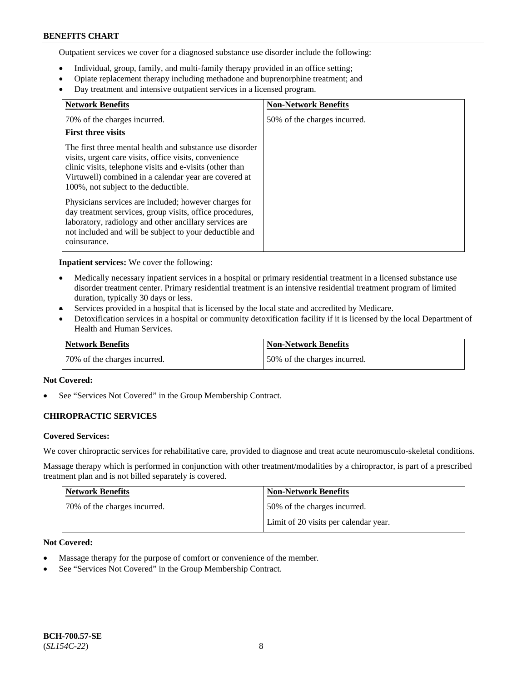Outpatient services we cover for a diagnosed substance use disorder include the following:

- Individual, group, family, and multi-family therapy provided in an office setting;
- Opiate replacement therapy including methadone and buprenorphine treatment; and
- Day treatment and intensive outpatient services in a licensed program.

| <b>Network Benefits</b>                                                                                                                                                                                                                                                         | <b>Non-Network Benefits</b>  |
|---------------------------------------------------------------------------------------------------------------------------------------------------------------------------------------------------------------------------------------------------------------------------------|------------------------------|
| 70% of the charges incurred.                                                                                                                                                                                                                                                    | 50% of the charges incurred. |
| <b>First three visits</b>                                                                                                                                                                                                                                                       |                              |
| The first three mental health and substance use disorder<br>visits, urgent care visits, office visits, convenience<br>clinic visits, telephone visits and e-visits (other than<br>Virtuwell) combined in a calendar year are covered at<br>100%, not subject to the deductible. |                              |
| Physicians services are included; however charges for<br>day treatment services, group visits, office procedures,<br>laboratory, radiology and other ancillary services are<br>not included and will be subject to your deductible and<br>coinsurance.                          |                              |

**Inpatient services:** We cover the following:

- Medically necessary inpatient services in a hospital or primary residential treatment in a licensed substance use disorder treatment center. Primary residential treatment is an intensive residential treatment program of limited duration, typically 30 days or less.
- Services provided in a hospital that is licensed by the local state and accredited by Medicare.
- Detoxification services in a hospital or community detoxification facility if it is licensed by the local Department of Health and Human Services.

| <b>Network Benefits</b>      | <b>Non-Network Benefits</b>  |
|------------------------------|------------------------------|
| 70% of the charges incurred. | 50% of the charges incurred. |

### **Not Covered:**

See "Services Not Covered" in the Group Membership Contract.

### **CHIROPRACTIC SERVICES**

#### **Covered Services:**

We cover chiropractic services for rehabilitative care, provided to diagnose and treat acute neuromusculo-skeletal conditions.

Massage therapy which is performed in conjunction with other treatment/modalities by a chiropractor, is part of a prescribed treatment plan and is not billed separately is covered.

| Network Benefits             | <b>Non-Network Benefits</b>           |
|------------------------------|---------------------------------------|
| 70% of the charges incurred. | 50% of the charges incurred.          |
|                              | Limit of 20 visits per calendar year. |

## **Not Covered:**

- Massage therapy for the purpose of comfort or convenience of the member.
- See "Services Not Covered" in the Group Membership Contract.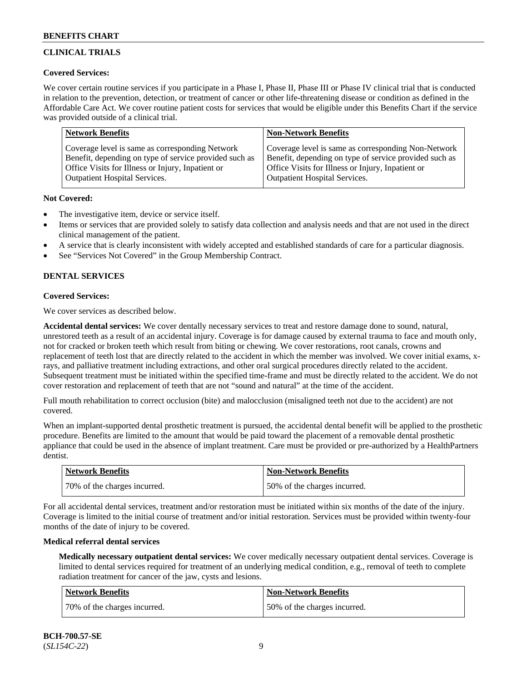## **CLINICAL TRIALS**

### **Covered Services:**

We cover certain routine services if you participate in a Phase I, Phase II, Phase III or Phase IV clinical trial that is conducted in relation to the prevention, detection, or treatment of cancer or other life-threatening disease or condition as defined in the Affordable Care Act. We cover routine patient costs for services that would be eligible under this Benefits Chart if the service was provided outside of a clinical trial.

| <b>Network Benefits</b>                                | <b>Non-Network Benefits</b>                            |
|--------------------------------------------------------|--------------------------------------------------------|
| Coverage level is same as corresponding Network        | Coverage level is same as corresponding Non-Network    |
| Benefit, depending on type of service provided such as | Benefit, depending on type of service provided such as |
| Office Visits for Illness or Injury, Inpatient or      | Office Visits for Illness or Injury, Inpatient or      |
| <b>Outpatient Hospital Services.</b>                   | Outpatient Hospital Services.                          |

### **Not Covered:**

- The investigative item, device or service itself.
- Items or services that are provided solely to satisfy data collection and analysis needs and that are not used in the direct clinical management of the patient.
- A service that is clearly inconsistent with widely accepted and established standards of care for a particular diagnosis.
- See "Services Not Covered" in the Group Membership Contract.

## **DENTAL SERVICES**

## **Covered Services:**

We cover services as described below.

**Accidental dental services:** We cover dentally necessary services to treat and restore damage done to sound, natural, unrestored teeth as a result of an accidental injury. Coverage is for damage caused by external trauma to face and mouth only, not for cracked or broken teeth which result from biting or chewing. We cover restorations, root canals, crowns and replacement of teeth lost that are directly related to the accident in which the member was involved. We cover initial exams, xrays, and palliative treatment including extractions, and other oral surgical procedures directly related to the accident. Subsequent treatment must be initiated within the specified time-frame and must be directly related to the accident. We do not cover restoration and replacement of teeth that are not "sound and natural" at the time of the accident.

Full mouth rehabilitation to correct occlusion (bite) and malocclusion (misaligned teeth not due to the accident) are not covered.

When an implant-supported dental prosthetic treatment is pursued, the accidental dental benefit will be applied to the prosthetic procedure. Benefits are limited to the amount that would be paid toward the placement of a removable dental prosthetic appliance that could be used in the absence of implant treatment. Care must be provided or pre-authorized by a HealthPartners dentist.

| <b>Network Benefits</b>      | <b>Non-Network Benefits</b>  |
|------------------------------|------------------------------|
| 70% of the charges incurred. | 50% of the charges incurred. |

For all accidental dental services, treatment and/or restoration must be initiated within six months of the date of the injury. Coverage is limited to the initial course of treatment and/or initial restoration. Services must be provided within twenty-four months of the date of injury to be covered.

### **Medical referral dental services**

**Medically necessary outpatient dental services:** We cover medically necessary outpatient dental services. Coverage is limited to dental services required for treatment of an underlying medical condition, e.g., removal of teeth to complete radiation treatment for cancer of the jaw, cysts and lesions.

| <b>Network Benefits</b>      | <b>Non-Network Benefits</b>  |
|------------------------------|------------------------------|
| 70% of the charges incurred. | 50% of the charges incurred. |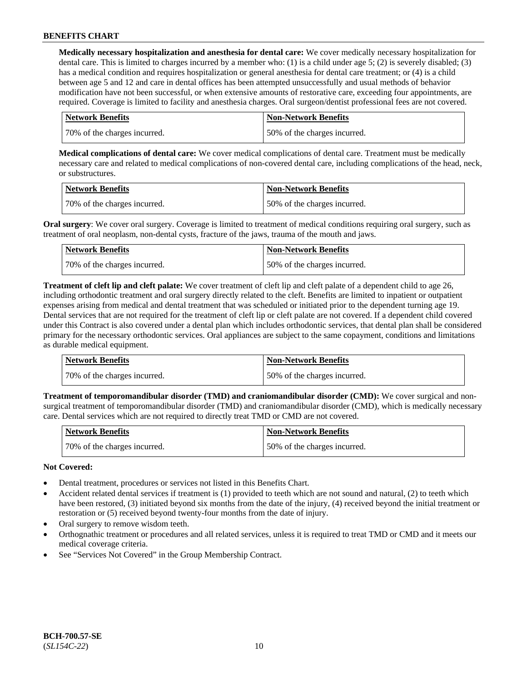**Medically necessary hospitalization and anesthesia for dental care:** We cover medically necessary hospitalization for dental care. This is limited to charges incurred by a member who: (1) is a child under age 5; (2) is severely disabled; (3) has a medical condition and requires hospitalization or general anesthesia for dental care treatment; or (4) is a child between age 5 and 12 and care in dental offices has been attempted unsuccessfully and usual methods of behavior modification have not been successful, or when extensive amounts of restorative care, exceeding four appointments, are required. Coverage is limited to facility and anesthesia charges. Oral surgeon/dentist professional fees are not covered.

| <b>Network Benefits</b>      | Non-Network Benefits         |
|------------------------------|------------------------------|
| 70% of the charges incurred. | 50% of the charges incurred. |

**Medical complications of dental care:** We cover medical complications of dental care. Treatment must be medically necessary care and related to medical complications of non-covered dental care, including complications of the head, neck, or substructures.

| Network Benefits             | <b>Non-Network Benefits</b>  |
|------------------------------|------------------------------|
| 70% of the charges incurred. | 50% of the charges incurred. |

**Oral surgery:** We cover oral surgery. Coverage is limited to treatment of medical conditions requiring oral surgery, such as treatment of oral neoplasm, non-dental cysts, fracture of the jaws, trauma of the mouth and jaws.

| <b>Network Benefits</b>      | <b>Non-Network Benefits</b>  |
|------------------------------|------------------------------|
| 70% of the charges incurred. | 50% of the charges incurred. |

**Treatment of cleft lip and cleft palate:** We cover treatment of cleft lip and cleft palate of a dependent child to age 26, including orthodontic treatment and oral surgery directly related to the cleft. Benefits are limited to inpatient or outpatient expenses arising from medical and dental treatment that was scheduled or initiated prior to the dependent turning age 19. Dental services that are not required for the treatment of cleft lip or cleft palate are not covered. If a dependent child covered under this Contract is also covered under a dental plan which includes orthodontic services, that dental plan shall be considered primary for the necessary orthodontic services. Oral appliances are subject to the same copayment, conditions and limitations as durable medical equipment.

| <b>Network Benefits</b>      | <b>Non-Network Benefits</b>  |
|------------------------------|------------------------------|
| 70% of the charges incurred. | 50% of the charges incurred. |

**Treatment of temporomandibular disorder (TMD) and craniomandibular disorder (CMD):** We cover surgical and nonsurgical treatment of temporomandibular disorder (TMD) and craniomandibular disorder (CMD), which is medically necessary care. Dental services which are not required to directly treat TMD or CMD are not covered.

| <b>Network Benefits</b>      | <b>Non-Network Benefits</b>  |
|------------------------------|------------------------------|
| 70% of the charges incurred. | 50% of the charges incurred. |

### **Not Covered:**

- Dental treatment, procedures or services not listed in this Benefits Chart.
- Accident related dental services if treatment is (1) provided to teeth which are not sound and natural, (2) to teeth which have been restored, (3) initiated beyond six months from the date of the injury, (4) received beyond the initial treatment or restoration or (5) received beyond twenty-four months from the date of injury.
- Oral surgery to remove wisdom teeth.
- Orthognathic treatment or procedures and all related services, unless it is required to treat TMD or CMD and it meets our medical coverage criteria.
- See "Services Not Covered" in the Group Membership Contract.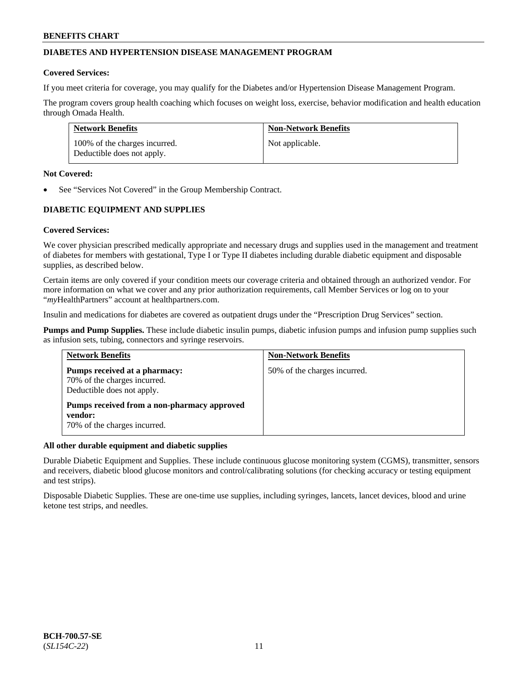## **DIABETES AND HYPERTENSION DISEASE MANAGEMENT PROGRAM**

#### **Covered Services:**

If you meet criteria for coverage, you may qualify for the Diabetes and/or Hypertension Disease Management Program.

The program covers group health coaching which focuses on weight loss, exercise, behavior modification and health education through Omada Health.

| <b>Network Benefits</b>                                     | <b>Non-Network Benefits</b> |
|-------------------------------------------------------------|-----------------------------|
| 100% of the charges incurred.<br>Deductible does not apply. | Not applicable.             |

#### **Not Covered:**

See "Services Not Covered" in the Group Membership Contract.

## **DIABETIC EQUIPMENT AND SUPPLIES**

### **Covered Services:**

We cover physician prescribed medically appropriate and necessary drugs and supplies used in the management and treatment of diabetes for members with gestational, Type I or Type II diabetes including durable diabetic equipment and disposable supplies, as described below.

Certain items are only covered if your condition meets our coverage criteria and obtained through an authorized vendor. For more information on what we cover and any prior authorization requirements, call Member Services or log on to your "*my*HealthPartners" account at [healthpartners.com.](http://www.healthpartners.com/)

Insulin and medications for diabetes are covered as outpatient drugs under the "Prescription Drug Services" section.

**Pumps and Pump Supplies.** These include diabetic insulin pumps, diabetic infusion pumps and infusion pump supplies such as infusion sets, tubing, connectors and syringe reservoirs.

| <b>Network Benefits</b>                                                                     | <b>Non-Network Benefits</b>  |
|---------------------------------------------------------------------------------------------|------------------------------|
| Pumps received at a pharmacy:<br>70% of the charges incurred.<br>Deductible does not apply. | 50% of the charges incurred. |
| Pumps received from a non-pharmacy approved<br>vendor:<br>70% of the charges incurred.      |                              |

### **All other durable equipment and diabetic supplies**

Durable Diabetic Equipment and Supplies. These include continuous glucose monitoring system (CGMS), transmitter, sensors and receivers, diabetic blood glucose monitors and control/calibrating solutions (for checking accuracy or testing equipment and test strips).

Disposable Diabetic Supplies. These are one-time use supplies, including syringes, lancets, lancet devices, blood and urine ketone test strips, and needles.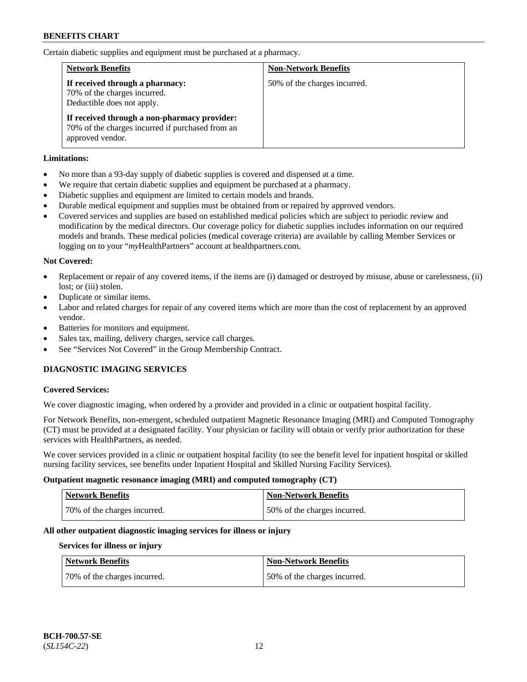Certain diabetic supplies and equipment must be purchased at a pharmacy.

| <b>Network Benefits</b>                                                                                              | <b>Non-Network Benefits</b>  |
|----------------------------------------------------------------------------------------------------------------------|------------------------------|
| If received through a pharmacy:<br>70% of the charges incurred.<br>Deductible does not apply.                        | 50% of the charges incurred. |
| If received through a non-pharmacy provider:<br>70% of the charges incurred if purchased from an<br>approved vendor. |                              |

### **Limitations:**

- No more than a 93-day supply of diabetic supplies is covered and dispensed at a time.
- We require that certain diabetic supplies and equipment be purchased at a pharmacy.
- Diabetic supplies and equipment are limited to certain models and brands.
- Durable medical equipment and supplies must be obtained from or repaired by approved vendors.
- Covered services and supplies are based on established medical policies which are subject to periodic review and modification by the medical directors. Our coverage policy for diabetic supplies includes information on our required models and brands. These medical policies (medical coverage criteria) are available by calling Member Services or logging on to your "*my*HealthPartners" account at [healthpartners.com.](http://www.healthpartners.com/)

## **Not Covered:**

- Replacement or repair of any covered items, if the items are (i) damaged or destroyed by misuse, abuse or carelessness, (ii) lost: or (iii) stolen.
- Duplicate or similar items.
- Labor and related charges for repair of any covered items which are more than the cost of replacement by an approved vendor.
- Batteries for monitors and equipment.
- Sales tax, mailing, delivery charges, service call charges.
- See "Services Not Covered" in the Group Membership Contract.

## **DIAGNOSTIC IMAGING SERVICES**

### **Covered Services:**

We cover diagnostic imaging, when ordered by a provider and provided in a clinic or outpatient hospital facility.

For Network Benefits, non-emergent, scheduled outpatient Magnetic Resonance Imaging (MRI) and Computed Tomography (CT) must be provided at a designated facility. Your physician or facility will obtain or verify prior authorization for these services with HealthPartners, as needed.

We cover services provided in a clinic or outpatient hospital facility (to see the benefit level for inpatient hospital or skilled nursing facility services, see benefits under Inpatient Hospital and Skilled Nursing Facility Services).

### **Outpatient magnetic resonance imaging (MRI) and computed tomography (CT)**

| <b>Network Benefits</b>      | <b>Non-Network Benefits</b>  |
|------------------------------|------------------------------|
| 70% of the charges incurred. | 50% of the charges incurred. |

### **All other outpatient diagnostic imaging services for illness or injury**

### **Services for illness or injury**

| <b>Network Benefits</b>      | <b>Non-Network Benefits</b>   |
|------------------------------|-------------------------------|
| 70% of the charges incurred. | 150% of the charges incurred. |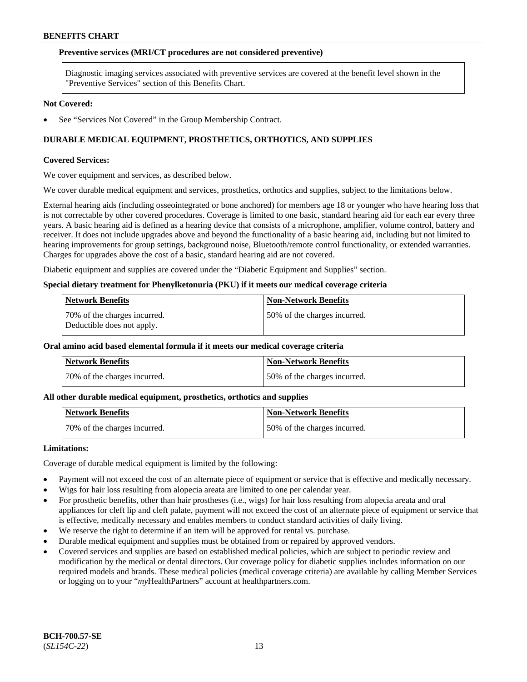#### **Preventive services (MRI/CT procedures are not considered preventive)**

Diagnostic imaging services associated with preventive services are covered at the benefit level shown in the "Preventive Services" section of this Benefits Chart.

#### **Not Covered:**

See "Services Not Covered" in the Group Membership Contract.

### **DURABLE MEDICAL EQUIPMENT, PROSTHETICS, ORTHOTICS, AND SUPPLIES**

#### **Covered Services:**

We cover equipment and services, as described below.

We cover durable medical equipment and services, prosthetics, orthotics and supplies, subject to the limitations below.

External hearing aids (including osseointegrated or bone anchored) for members age 18 or younger who have hearing loss that is not correctable by other covered procedures. Coverage is limited to one basic, standard hearing aid for each ear every three years. A basic hearing aid is defined as a hearing device that consists of a microphone, amplifier, volume control, battery and receiver. It does not include upgrades above and beyond the functionality of a basic hearing aid, including but not limited to hearing improvements for group settings, background noise, Bluetooth/remote control functionality, or extended warranties. Charges for upgrades above the cost of a basic, standard hearing aid are not covered.

Diabetic equipment and supplies are covered under the "Diabetic Equipment and Supplies" section.

#### **Special dietary treatment for Phenylketonuria (PKU) if it meets our medical coverage criteria**

| <b>Network Benefits</b>                                    | <b>Non-Network Benefits</b>  |
|------------------------------------------------------------|------------------------------|
| 70% of the charges incurred.<br>Deductible does not apply. | 50% of the charges incurred. |

## **Oral amino acid based elemental formula if it meets our medical coverage criteria**

| <b>Network Benefits</b>      | ' Non-Network Benefits       |
|------------------------------|------------------------------|
| 70% of the charges incurred. | 50% of the charges incurred. |

#### **All other durable medical equipment, prosthetics, orthotics and supplies**

| <b>Network Benefits</b>      | Non-Network Benefits         |
|------------------------------|------------------------------|
| 70% of the charges incurred. | 50% of the charges incurred. |

#### **Limitations:**

Coverage of durable medical equipment is limited by the following:

- Payment will not exceed the cost of an alternate piece of equipment or service that is effective and medically necessary.
- Wigs for hair loss resulting from alopecia areata are limited to one per calendar year.
- For prosthetic benefits, other than hair prostheses (i.e., wigs) for hair loss resulting from alopecia areata and oral appliances for cleft lip and cleft palate, payment will not exceed the cost of an alternate piece of equipment or service that is effective, medically necessary and enables members to conduct standard activities of daily living.
- We reserve the right to determine if an item will be approved for rental vs. purchase.
- Durable medical equipment and supplies must be obtained from or repaired by approved vendors.
- Covered services and supplies are based on established medical policies, which are subject to periodic review and modification by the medical or dental directors. Our coverage policy for diabetic supplies includes information on our required models and brands. These medical policies (medical coverage criteria) are available by calling Member Services or logging on to your "*my*HealthPartners" account a[t healthpartners.com.](https://www.healthpartners.com/hp/index.html)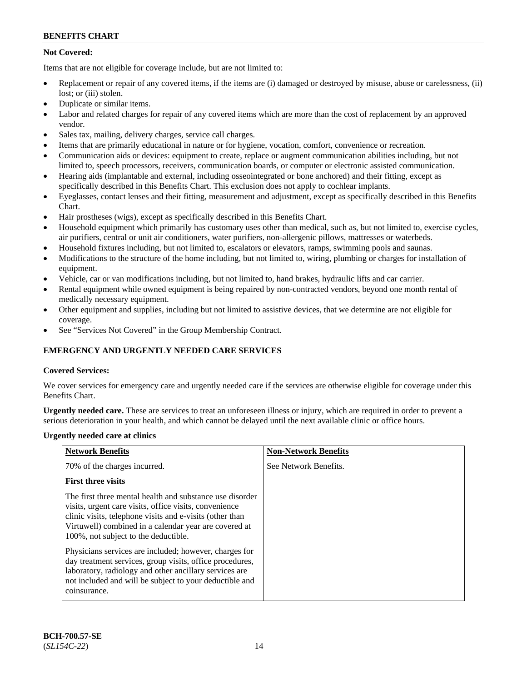## **Not Covered:**

Items that are not eligible for coverage include, but are not limited to:

- Replacement or repair of any covered items, if the items are (i) damaged or destroyed by misuse, abuse or carelessness, (ii) lost; or (iii) stolen.
- Duplicate or similar items.
- Labor and related charges for repair of any covered items which are more than the cost of replacement by an approved vendor.
- Sales tax, mailing, delivery charges, service call charges.
- Items that are primarily educational in nature or for hygiene, vocation, comfort, convenience or recreation.
- Communication aids or devices: equipment to create, replace or augment communication abilities including, but not limited to, speech processors, receivers, communication boards, or computer or electronic assisted communication.
- Hearing aids (implantable and external, including osseointegrated or bone anchored) and their fitting, except as specifically described in this Benefits Chart. This exclusion does not apply to cochlear implants.
- Eyeglasses, contact lenses and their fitting, measurement and adjustment, except as specifically described in this Benefits Chart.
- Hair prostheses (wigs), except as specifically described in this Benefits Chart.
- Household equipment which primarily has customary uses other than medical, such as, but not limited to, exercise cycles, air purifiers, central or unit air conditioners, water purifiers, non-allergenic pillows, mattresses or waterbeds.
- Household fixtures including, but not limited to, escalators or elevators, ramps, swimming pools and saunas.
- Modifications to the structure of the home including, but not limited to, wiring, plumbing or charges for installation of equipment.
- Vehicle, car or van modifications including, but not limited to, hand brakes, hydraulic lifts and car carrier.
- Rental equipment while owned equipment is being repaired by non-contracted vendors, beyond one month rental of medically necessary equipment.
- Other equipment and supplies, including but not limited to assistive devices, that we determine are not eligible for coverage.
- See "Services Not Covered" in the Group Membership Contract.

## **EMERGENCY AND URGENTLY NEEDED CARE SERVICES**

### **Covered Services:**

We cover services for emergency care and urgently needed care if the services are otherwise eligible for coverage under this Benefits Chart.

**Urgently needed care.** These are services to treat an unforeseen illness or injury, which are required in order to prevent a serious deterioration in your health, and which cannot be delayed until the next available clinic or office hours.

### **Urgently needed care at clinics**

| <b>Network Benefits</b>                                                                                                                                                                                                                                                         | <b>Non-Network Benefits</b> |
|---------------------------------------------------------------------------------------------------------------------------------------------------------------------------------------------------------------------------------------------------------------------------------|-----------------------------|
| 70% of the charges incurred.                                                                                                                                                                                                                                                    | See Network Benefits.       |
| <b>First three visits</b>                                                                                                                                                                                                                                                       |                             |
| The first three mental health and substance use disorder<br>visits, urgent care visits, office visits, convenience<br>clinic visits, telephone visits and e-visits (other than<br>Virtuwell) combined in a calendar year are covered at<br>100%, not subject to the deductible. |                             |
| Physicians services are included; however, charges for<br>day treatment services, group visits, office procedures,<br>laboratory, radiology and other ancillary services are<br>not included and will be subject to your deductible and<br>coinsurance.                         |                             |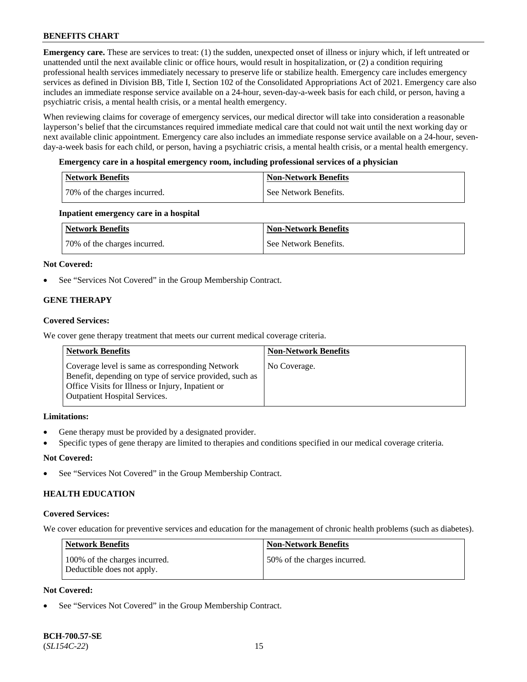**Emergency care.** These are services to treat: (1) the sudden, unexpected onset of illness or injury which, if left untreated or unattended until the next available clinic or office hours, would result in hospitalization, or (2) a condition requiring professional health services immediately necessary to preserve life or stabilize health. Emergency care includes emergency services as defined in Division BB, Title I, Section 102 of the Consolidated Appropriations Act of 2021. Emergency care also includes an immediate response service available on a 24-hour, seven-day-a-week basis for each child, or person, having a psychiatric crisis, a mental health crisis, or a mental health emergency.

When reviewing claims for coverage of emergency services, our medical director will take into consideration a reasonable layperson's belief that the circumstances required immediate medical care that could not wait until the next working day or next available clinic appointment. Emergency care also includes an immediate response service available on a 24-hour, sevenday-a-week basis for each child, or person, having a psychiatric crisis, a mental health crisis, or a mental health emergency.

### **Emergency care in a hospital emergency room, including professional services of a physician**

| Network Benefits             | <b>Non-Network Benefits</b> |
|------------------------------|-----------------------------|
| 70% of the charges incurred. | See Network Benefits.       |

### **Inpatient emergency care in a hospital**

| Network Benefits             | <b>Non-Network Benefits</b> |
|------------------------------|-----------------------------|
| 70% of the charges incurred. | See Network Benefits.       |

## **Not Covered:**

See "Services Not Covered" in the Group Membership Contract.

## **GENE THERAPY**

## **Covered Services:**

We cover gene therapy treatment that meets our current medical coverage criteria.

| <b>Network Benefits</b>                                                                                                                                                                                 | <b>Non-Network Benefits</b> |
|---------------------------------------------------------------------------------------------------------------------------------------------------------------------------------------------------------|-----------------------------|
| Coverage level is same as corresponding Network<br>Benefit, depending on type of service provided, such as<br>Office Visits for Illness or Injury, Inpatient or<br><b>Outpatient Hospital Services.</b> | No Coverage.                |

### **Limitations:**

- Gene therapy must be provided by a designated provider.
- Specific types of gene therapy are limited to therapies and conditions specified in our medical coverage criteria.

## **Not Covered:**

See "Services Not Covered" in the Group Membership Contract.

## **HEALTH EDUCATION**

### **Covered Services:**

We cover education for preventive services and education for the management of chronic health problems (such as diabetes).

| <b>Network Benefits</b>                                     | Non-Network Benefits         |
|-------------------------------------------------------------|------------------------------|
| 100% of the charges incurred.<br>Deductible does not apply. | 50% of the charges incurred. |

## **Not Covered:**

See "Services Not Covered" in the Group Membership Contract.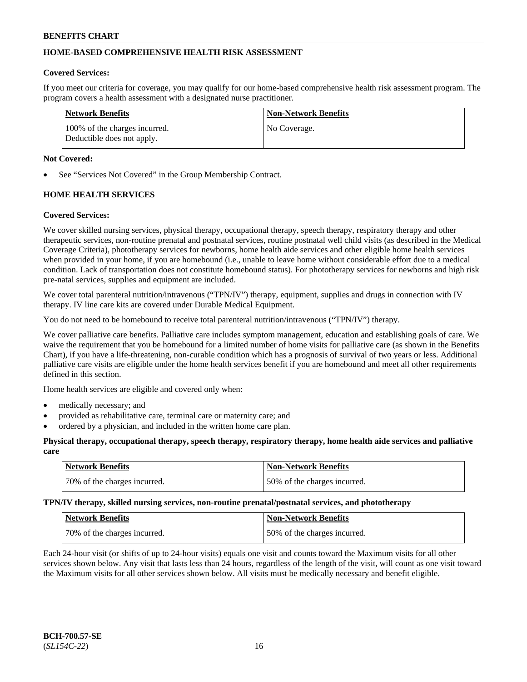## **HOME-BASED COMPREHENSIVE HEALTH RISK ASSESSMENT**

#### **Covered Services:**

If you meet our criteria for coverage, you may qualify for our home-based comprehensive health risk assessment program. The program covers a health assessment with a designated nurse practitioner.

| Network Benefits                                            | Non-Network Benefits |
|-------------------------------------------------------------|----------------------|
| 100% of the charges incurred.<br>Deductible does not apply. | No Coverage.         |

#### **Not Covered:**

See "Services Not Covered" in the Group Membership Contract.

## **HOME HEALTH SERVICES**

#### **Covered Services:**

We cover skilled nursing services, physical therapy, occupational therapy, speech therapy, respiratory therapy and other therapeutic services, non-routine prenatal and postnatal services, routine postnatal well child visits (as described in the Medical Coverage Criteria), phototherapy services for newborns, home health aide services and other eligible home health services when provided in your home, if you are homebound (i.e., unable to leave home without considerable effort due to a medical condition. Lack of transportation does not constitute homebound status). For phototherapy services for newborns and high risk pre-natal services, supplies and equipment are included.

We cover total parenteral nutrition/intravenous ("TPN/IV") therapy, equipment, supplies and drugs in connection with IV therapy. IV line care kits are covered under Durable Medical Equipment.

You do not need to be homebound to receive total parenteral nutrition/intravenous ("TPN/IV") therapy.

We cover palliative care benefits. Palliative care includes symptom management, education and establishing goals of care. We waive the requirement that you be homebound for a limited number of home visits for palliative care (as shown in the Benefits Chart), if you have a life-threatening, non-curable condition which has a prognosis of survival of two years or less. Additional palliative care visits are eligible under the home health services benefit if you are homebound and meet all other requirements defined in this section.

Home health services are eligible and covered only when:

- medically necessary; and
- provided as rehabilitative care, terminal care or maternity care; and
- ordered by a physician, and included in the written home care plan.

#### **Physical therapy, occupational therapy, speech therapy, respiratory therapy, home health aide services and palliative care**

| <b>Network Benefits</b>       | Non-Network Benefits         |
|-------------------------------|------------------------------|
| 170% of the charges incurred. | 50% of the charges incurred. |

**TPN/IV therapy, skilled nursing services, non-routine prenatal/postnatal services, and phototherapy**

| <b>Network Benefits</b>      | <b>Non-Network Benefits</b>  |
|------------------------------|------------------------------|
| 70% of the charges incurred. | 50% of the charges incurred. |

Each 24-hour visit (or shifts of up to 24-hour visits) equals one visit and counts toward the Maximum visits for all other services shown below. Any visit that lasts less than 24 hours, regardless of the length of the visit, will count as one visit toward the Maximum visits for all other services shown below. All visits must be medically necessary and benefit eligible.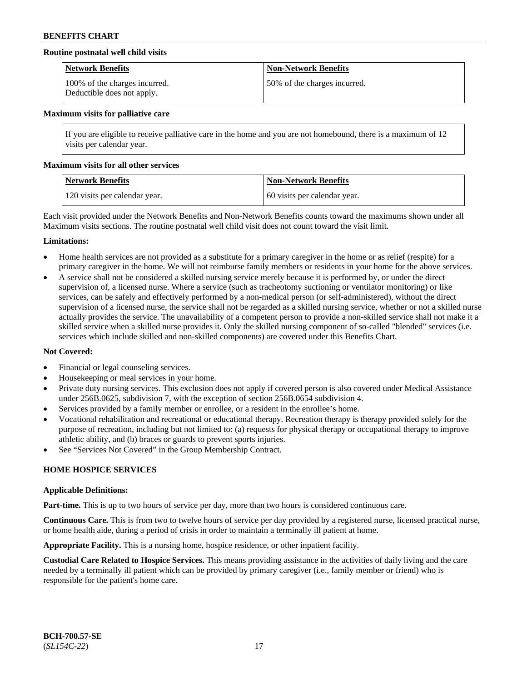### **Routine postnatal well child visits**

| <b>Network Benefits</b>                                     | Non-Network Benefits         |
|-------------------------------------------------------------|------------------------------|
| 100% of the charges incurred.<br>Deductible does not apply. | 50% of the charges incurred. |

#### **Maximum visits for palliative care**

If you are eligible to receive palliative care in the home and you are not homebound, there is a maximum of 12 visits per calendar year.

#### **Maximum visits for all other services**

| Network Benefits              | <b>Non-Network Benefits</b>  |
|-------------------------------|------------------------------|
| 120 visits per calendar year. | 60 visits per calendar year. |

Each visit provided under the Network Benefits and Non-Network Benefits counts toward the maximums shown under all Maximum visits sections. The routine postnatal well child visit does not count toward the visit limit.

#### **Limitations:**

- Home health services are not provided as a substitute for a primary caregiver in the home or as relief (respite) for a primary caregiver in the home. We will not reimburse family members or residents in your home for the above services.
- A service shall not be considered a skilled nursing service merely because it is performed by, or under the direct supervision of, a licensed nurse. Where a service (such as tracheotomy suctioning or ventilator monitoring) or like services, can be safely and effectively performed by a non-medical person (or self-administered), without the direct supervision of a licensed nurse, the service shall not be regarded as a skilled nursing service, whether or not a skilled nurse actually provides the service. The unavailability of a competent person to provide a non-skilled service shall not make it a skilled service when a skilled nurse provides it. Only the skilled nursing component of so-called "blended" services (i.e. services which include skilled and non-skilled components) are covered under this Benefits Chart.

### **Not Covered:**

- Financial or legal counseling services.
- Housekeeping or meal services in your home.
- Private duty nursing services. This exclusion does not apply if covered person is also covered under Medical Assistance under 256B.0625, subdivision 7, with the exception of section 256B.0654 subdivision 4.
- Services provided by a family member or enrollee, or a resident in the enrollee's home.
- Vocational rehabilitation and recreational or educational therapy. Recreation therapy is therapy provided solely for the purpose of recreation, including but not limited to: (a) requests for physical therapy or occupational therapy to improve athletic ability, and (b) braces or guards to prevent sports injuries.
- See "Services Not Covered" in the Group Membership Contract.

### **HOME HOSPICE SERVICES**

#### **Applicable Definitions:**

**Part-time.** This is up to two hours of service per day, more than two hours is considered continuous care.

**Continuous Care.** This is from two to twelve hours of service per day provided by a registered nurse, licensed practical nurse, or home health aide, during a period of crisis in order to maintain a terminally ill patient at home.

**Appropriate Facility.** This is a nursing home, hospice residence, or other inpatient facility.

**Custodial Care Related to Hospice Services.** This means providing assistance in the activities of daily living and the care needed by a terminally ill patient which can be provided by primary caregiver (i.e., family member or friend) who is responsible for the patient's home care.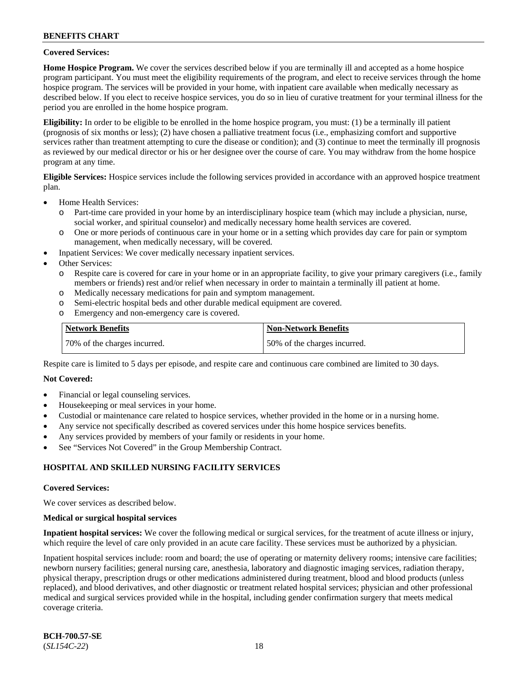### **Covered Services:**

**Home Hospice Program.** We cover the services described below if you are terminally ill and accepted as a home hospice program participant. You must meet the eligibility requirements of the program, and elect to receive services through the home hospice program. The services will be provided in your home, with inpatient care available when medically necessary as described below. If you elect to receive hospice services, you do so in lieu of curative treatment for your terminal illness for the period you are enrolled in the home hospice program.

**Eligibility:** In order to be eligible to be enrolled in the home hospice program, you must: (1) be a terminally ill patient (prognosis of six months or less); (2) have chosen a palliative treatment focus (i.e., emphasizing comfort and supportive services rather than treatment attempting to cure the disease or condition); and (3) continue to meet the terminally ill prognosis as reviewed by our medical director or his or her designee over the course of care. You may withdraw from the home hospice program at any time.

**Eligible Services:** Hospice services include the following services provided in accordance with an approved hospice treatment plan.

- Home Health Services:
	- o Part-time care provided in your home by an interdisciplinary hospice team (which may include a physician, nurse, social worker, and spiritual counselor) and medically necessary home health services are covered.
	- o One or more periods of continuous care in your home or in a setting which provides day care for pain or symptom management, when medically necessary, will be covered.
	- Inpatient Services: We cover medically necessary inpatient services.
- Other Services:
	- o Respite care is covered for care in your home or in an appropriate facility, to give your primary caregivers (i.e., family members or friends) rest and/or relief when necessary in order to maintain a terminally ill patient at home.
	- o Medically necessary medications for pain and symptom management.
	- Semi-electric hospital beds and other durable medical equipment are covered.
	- o Emergency and non-emergency care is covered.

| <b>Network Benefits</b>      | <b>Non-Network Benefits</b>  |
|------------------------------|------------------------------|
| 70% of the charges incurred. | 50% of the charges incurred. |

Respite care is limited to 5 days per episode, and respite care and continuous care combined are limited to 30 days.

### **Not Covered:**

- Financial or legal counseling services.
- Housekeeping or meal services in your home.
- Custodial or maintenance care related to hospice services, whether provided in the home or in a nursing home.
- Any service not specifically described as covered services under this home hospice services benefits.
- Any services provided by members of your family or residents in your home.
- See "Services Not Covered" in the Group Membership Contract.

### **HOSPITAL AND SKILLED NURSING FACILITY SERVICES**

#### **Covered Services:**

We cover services as described below.

#### **Medical or surgical hospital services**

**Inpatient hospital services:** We cover the following medical or surgical services, for the treatment of acute illness or injury, which require the level of care only provided in an acute care facility. These services must be authorized by a physician.

Inpatient hospital services include: room and board; the use of operating or maternity delivery rooms; intensive care facilities; newborn nursery facilities; general nursing care, anesthesia, laboratory and diagnostic imaging services, radiation therapy, physical therapy, prescription drugs or other medications administered during treatment, blood and blood products (unless replaced), and blood derivatives, and other diagnostic or treatment related hospital services; physician and other professional medical and surgical services provided while in the hospital, including gender confirmation surgery that meets medical coverage criteria.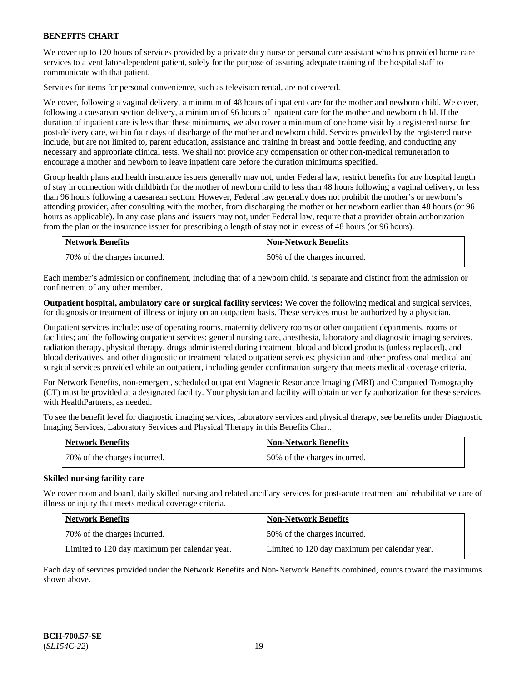We cover up to 120 hours of services provided by a private duty nurse or personal care assistant who has provided home care services to a ventilator-dependent patient, solely for the purpose of assuring adequate training of the hospital staff to communicate with that patient.

Services for items for personal convenience, such as television rental, are not covered.

We cover, following a vaginal delivery, a minimum of 48 hours of inpatient care for the mother and newborn child. We cover, following a caesarean section delivery, a minimum of 96 hours of inpatient care for the mother and newborn child. If the duration of inpatient care is less than these minimums, we also cover a minimum of one home visit by a registered nurse for post-delivery care, within four days of discharge of the mother and newborn child. Services provided by the registered nurse include, but are not limited to, parent education, assistance and training in breast and bottle feeding, and conducting any necessary and appropriate clinical tests. We shall not provide any compensation or other non-medical remuneration to encourage a mother and newborn to leave inpatient care before the duration minimums specified.

Group health plans and health insurance issuers generally may not, under Federal law, restrict benefits for any hospital length of stay in connection with childbirth for the mother of newborn child to less than 48 hours following a vaginal delivery, or less than 96 hours following a caesarean section. However, Federal law generally does not prohibit the mother's or newborn's attending provider, after consulting with the mother, from discharging the mother or her newborn earlier than 48 hours (or 96 hours as applicable). In any case plans and issuers may not, under Federal law, require that a provider obtain authorization from the plan or the insurance issuer for prescribing a length of stay not in excess of 48 hours (or 96 hours).

| Network Benefits             | <b>Non-Network Benefits</b>  |
|------------------------------|------------------------------|
| 70% of the charges incurred. | 50% of the charges incurred. |

Each member's admission or confinement, including that of a newborn child, is separate and distinct from the admission or confinement of any other member.

**Outpatient hospital, ambulatory care or surgical facility services:** We cover the following medical and surgical services, for diagnosis or treatment of illness or injury on an outpatient basis. These services must be authorized by a physician.

Outpatient services include: use of operating rooms, maternity delivery rooms or other outpatient departments, rooms or facilities; and the following outpatient services: general nursing care, anesthesia, laboratory and diagnostic imaging services, radiation therapy, physical therapy, drugs administered during treatment, blood and blood products (unless replaced), and blood derivatives, and other diagnostic or treatment related outpatient services; physician and other professional medical and surgical services provided while an outpatient, including gender confirmation surgery that meets medical coverage criteria.

For Network Benefits, non-emergent, scheduled outpatient Magnetic Resonance Imaging (MRI) and Computed Tomography (CT) must be provided at a designated facility. Your physician and facility will obtain or verify authorization for these services with HealthPartners, as needed.

To see the benefit level for diagnostic imaging services, laboratory services and physical therapy, see benefits under Diagnostic Imaging Services, Laboratory Services and Physical Therapy in this Benefits Chart.

| <b>Network Benefits</b>      | <b>Non-Network Benefits</b>  |
|------------------------------|------------------------------|
| 70% of the charges incurred. | 50% of the charges incurred. |

### **Skilled nursing facility care**

We cover room and board, daily skilled nursing and related ancillary services for post-acute treatment and rehabilitative care of illness or injury that meets medical coverage criteria.

| Network Benefits                              | <b>Non-Network Benefits</b>                   |
|-----------------------------------------------|-----------------------------------------------|
| 170% of the charges incurred.                 | 50% of the charges incurred.                  |
| Limited to 120 day maximum per calendar year. | Limited to 120 day maximum per calendar year. |

Each day of services provided under the Network Benefits and Non-Network Benefits combined, counts toward the maximums shown above.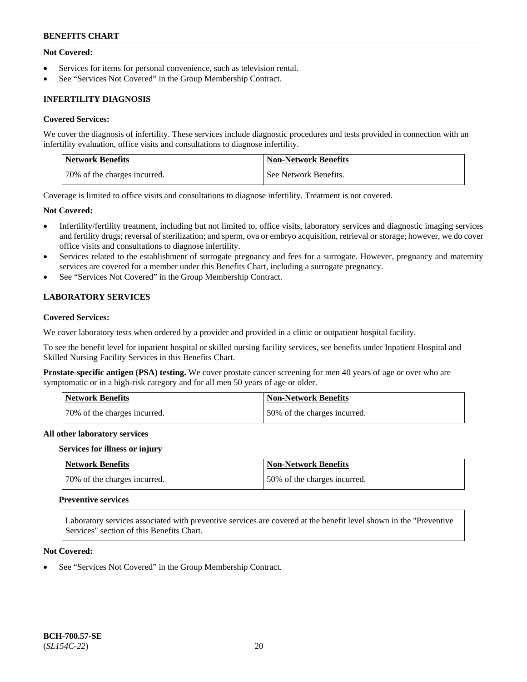### **Not Covered:**

- Services for items for personal convenience, such as television rental.
- See "Services Not Covered" in the Group Membership Contract.

## **INFERTILITY DIAGNOSIS**

#### **Covered Services:**

We cover the diagnosis of infertility. These services include diagnostic procedures and tests provided in connection with an infertility evaluation, office visits and consultations to diagnose infertility.

| <b>Network Benefits</b>      | <b>Non-Network Benefits</b> |
|------------------------------|-----------------------------|
| 70% of the charges incurred. | See Network Benefits.       |

Coverage is limited to office visits and consultations to diagnose infertility. Treatment is not covered.

#### **Not Covered:**

- Infertility/fertility treatment, including but not limited to, office visits, laboratory services and diagnostic imaging services and fertility drugs; reversal of sterilization; and sperm, ova or embryo acquisition, retrieval or storage; however, we do cover office visits and consultations to diagnose infertility.
- Services related to the establishment of surrogate pregnancy and fees for a surrogate. However, pregnancy and maternity services are covered for a member under this Benefits Chart, including a surrogate pregnancy.
- See "Services Not Covered" in the Group Membership Contract.

## **LABORATORY SERVICES**

## **Covered Services:**

We cover laboratory tests when ordered by a provider and provided in a clinic or outpatient hospital facility.

To see the benefit level for inpatient hospital or skilled nursing facility services, see benefits under Inpatient Hospital and Skilled Nursing Facility Services in this Benefits Chart.

**Prostate-specific antigen (PSA) testing.** We cover prostate cancer screening for men 40 years of age or over who are symptomatic or in a high-risk category and for all men 50 years of age or older.

| <b>Network Benefits</b>      | Non-Network Benefits         |
|------------------------------|------------------------------|
| 70% of the charges incurred. | 50% of the charges incurred. |

#### **All other laboratory services**

#### **Services for illness or injury**

| Network Benefits             | Non-Network Benefits         |
|------------------------------|------------------------------|
| 70% of the charges incurred. | 50% of the charges incurred. |

#### **Preventive services**

Laboratory services associated with preventive services are covered at the benefit level shown in the "Preventive Services" section of this Benefits Chart.

### **Not Covered:**

See "Services Not Covered" in the Group Membership Contract.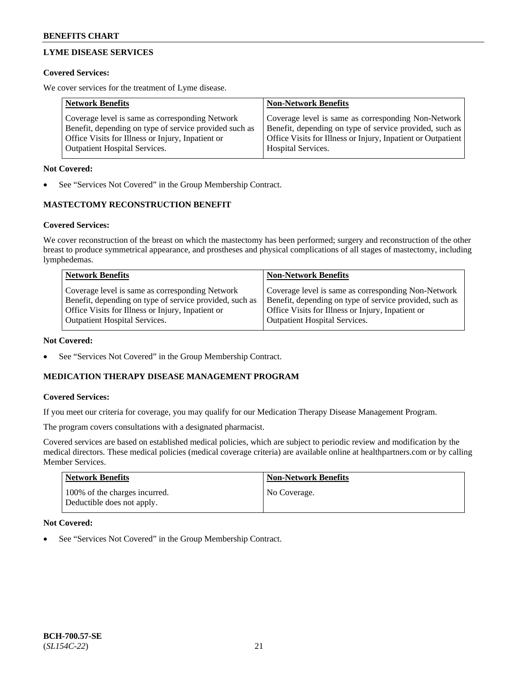## **LYME DISEASE SERVICES**

### **Covered Services:**

We cover services for the treatment of Lyme disease.

| <b>Network Benefits</b>                                | <b>Non-Network Benefits</b>                                  |
|--------------------------------------------------------|--------------------------------------------------------------|
| Coverage level is same as corresponding Network        | Coverage level is same as corresponding Non-Network          |
| Benefit, depending on type of service provided such as | Benefit, depending on type of service provided, such as      |
| Office Visits for Illness or Injury, Inpatient or      | Office Visits for Illness or Injury, Inpatient or Outpatient |
| <b>Outpatient Hospital Services.</b>                   | Hospital Services.                                           |

### **Not Covered:**

See "Services Not Covered" in the Group Membership Contract.

## **MASTECTOMY RECONSTRUCTION BENEFIT**

## **Covered Services:**

We cover reconstruction of the breast on which the mastectomy has been performed; surgery and reconstruction of the other breast to produce symmetrical appearance, and prostheses and physical complications of all stages of mastectomy, including lymphedemas.

| <b>Network Benefits</b>                                 | <b>Non-Network Benefits</b>                             |
|---------------------------------------------------------|---------------------------------------------------------|
| Coverage level is same as corresponding Network         | Coverage level is same as corresponding Non-Network     |
| Benefit, depending on type of service provided, such as | Benefit, depending on type of service provided, such as |
| Office Visits for Illness or Injury, Inpatient or       | Office Visits for Illness or Injury, Inpatient or       |
| <b>Outpatient Hospital Services.</b>                    | <b>Outpatient Hospital Services.</b>                    |

### **Not Covered:**

See "Services Not Covered" in the Group Membership Contract.

## **MEDICATION THERAPY DISEASE MANAGEMENT PROGRAM**

### **Covered Services:**

If you meet our criteria for coverage, you may qualify for our Medication Therapy Disease Management Program.

The program covers consultations with a designated pharmacist.

Covered services are based on established medical policies, which are subject to periodic review and modification by the medical directors. These medical policies (medical coverage criteria) are available online at [healthpartners.com](https://www.healthpartners.com/hp/index.html) or by calling Member Services.

| Network Benefits                                            | <b>Non-Network Benefits</b> |
|-------------------------------------------------------------|-----------------------------|
| 100% of the charges incurred.<br>Deductible does not apply. | No Coverage.                |

### **Not Covered:**

See "Services Not Covered" in the Group Membership Contract.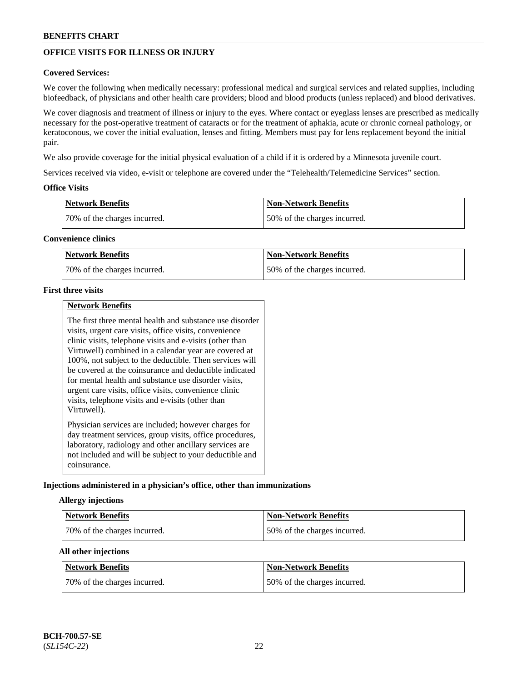## **OFFICE VISITS FOR ILLNESS OR INJURY**

### **Covered Services:**

We cover the following when medically necessary: professional medical and surgical services and related supplies, including biofeedback, of physicians and other health care providers; blood and blood products (unless replaced) and blood derivatives.

We cover diagnosis and treatment of illness or injury to the eyes. Where contact or eyeglass lenses are prescribed as medically necessary for the post-operative treatment of cataracts or for the treatment of aphakia, acute or chronic corneal pathology, or keratoconous, we cover the initial evaluation, lenses and fitting. Members must pay for lens replacement beyond the initial pair.

We also provide coverage for the initial physical evaluation of a child if it is ordered by a Minnesota juvenile court.

Services received via video, e-visit or telephone are covered under the "Telehealth/Telemedicine Services" section.

### **Office Visits**

| <b>Network Benefits</b>      | <b>Non-Network Benefits</b>  |
|------------------------------|------------------------------|
| 70% of the charges incurred. | 50% of the charges incurred. |

### **Convenience clinics**

| <b>Network Benefits</b>      | <b>Non-Network Benefits</b>   |
|------------------------------|-------------------------------|
| 70% of the charges incurred. | 150% of the charges incurred. |

### **First three visits**

|--|

The first three mental health and substance use disorder visits, urgent care visits, office visits, convenience clinic visits, telephone visits and e-visits (other than Virtuwell) combined in a calendar year are covered at 100%, not subject to the deductible. Then services will be covered at the coinsurance and deductible indicated for mental health and substance use disorder visits, urgent care visits, office visits, convenience clinic visits, telephone visits and e-visits (other than Virtuwell). Physician services are included; however charges for day treatment services, group visits, office procedures,

laboratory, radiology and other ancillary services are not included and will be subject to your deductible and coinsurance.

### **Injections administered in a physician's office, other than immunizations**

### **Allergy injections**

| <b>Network Benefits</b>      | <b>Non-Network Benefits</b>  |
|------------------------------|------------------------------|
| 70% of the charges incurred. | 50% of the charges incurred. |

### **All other injections**

| <b>Network Benefits</b>      | Non-Network Benefits         |
|------------------------------|------------------------------|
| 70% of the charges incurred. | 50% of the charges incurred. |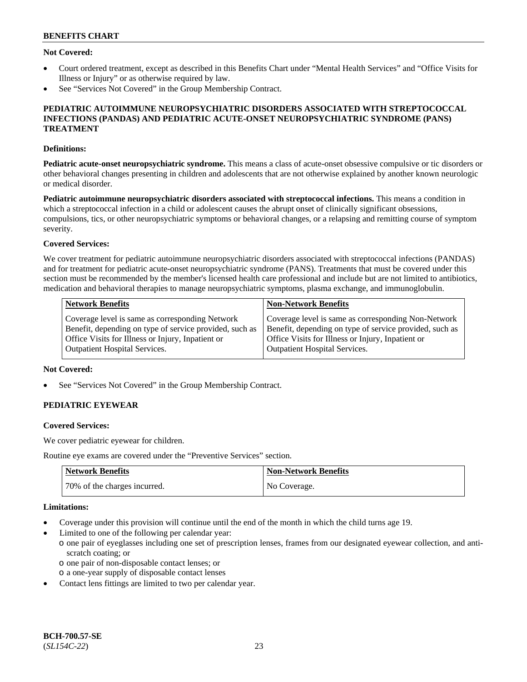### **Not Covered:**

- Court ordered treatment, except as described in this Benefits Chart under "Mental Health Services" and "Office Visits for Illness or Injury" or as otherwise required by law.
- See "Services Not Covered" in the Group Membership Contract.

#### **PEDIATRIC AUTOIMMUNE NEUROPSYCHIATRIC DISORDERS ASSOCIATED WITH STREPTOCOCCAL INFECTIONS (PANDAS) AND PEDIATRIC ACUTE-ONSET NEUROPSYCHIATRIC SYNDROME (PANS) TREATMENT**

#### **Definitions:**

**Pediatric acute-onset neuropsychiatric syndrome.** This means a class of acute-onset obsessive compulsive or tic disorders or other behavioral changes presenting in children and adolescents that are not otherwise explained by another known neurologic or medical disorder.

**Pediatric autoimmune neuropsychiatric disorders associated with streptococcal infections.** This means a condition in which a streptococcal infection in a child or adolescent causes the abrupt onset of clinically significant obsessions, compulsions, tics, or other neuropsychiatric symptoms or behavioral changes, or a relapsing and remitting course of symptom severity.

### **Covered Services:**

We cover treatment for pediatric autoimmune neuropsychiatric disorders associated with streptococcal infections (PANDAS) and for treatment for pediatric acute-onset neuropsychiatric syndrome (PANS). Treatments that must be covered under this section must be recommended by the member's licensed health care professional and include but are not limited to antibiotics, medication and behavioral therapies to manage neuropsychiatric symptoms, plasma exchange, and immunoglobulin.

| <b>Network Benefits</b>                                 | <b>Non-Network Benefits</b>                             |
|---------------------------------------------------------|---------------------------------------------------------|
| Coverage level is same as corresponding Network         | Coverage level is same as corresponding Non-Network     |
| Benefit, depending on type of service provided, such as | Benefit, depending on type of service provided, such as |
| Office Visits for Illness or Injury, Inpatient or       | Office Visits for Illness or Injury, Inpatient or       |
| <b>Outpatient Hospital Services.</b>                    | Outpatient Hospital Services.                           |

#### **Not Covered:**

See "Services Not Covered" in the Group Membership Contract.

## **PEDIATRIC EYEWEAR**

#### **Covered Services:**

We cover pediatric eyewear for children.

Routine eye exams are covered under the "Preventive Services" section.

| <b>Network Benefits</b>      | <b>Non-Network Benefits</b> |
|------------------------------|-----------------------------|
| 70% of the charges incurred. | No Coverage.                |

#### **Limitations:**

- Coverage under this provision will continue until the end of the month in which the child turns age 19.
- Limited to one of the following per calendar year:
	- o one pair of eyeglasses including one set of prescription lenses, frames from our designated eyewear collection, and antiscratch coating; or
		- o one pair of non-disposable contact lenses; or
	- o a one-year supply of disposable contact lenses
- Contact lens fittings are limited to two per calendar year.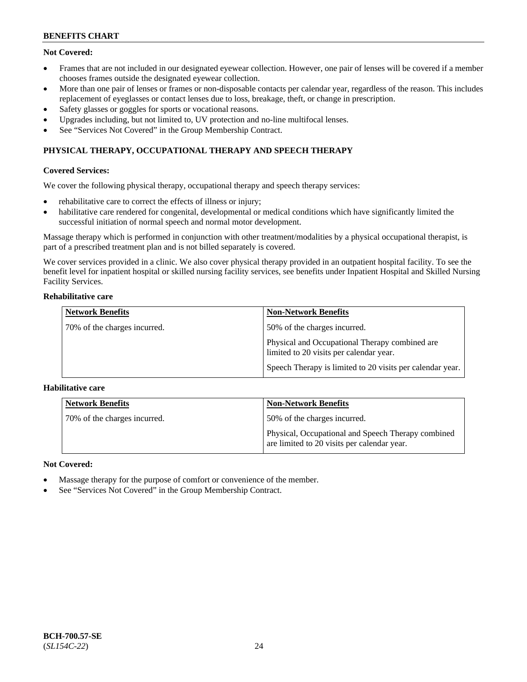## **Not Covered:**

- Frames that are not included in our designated eyewear collection. However, one pair of lenses will be covered if a member chooses frames outside the designated eyewear collection.
- More than one pair of lenses or frames or non-disposable contacts per calendar year, regardless of the reason. This includes replacement of eyeglasses or contact lenses due to loss, breakage, theft, or change in prescription.
- Safety glasses or goggles for sports or vocational reasons.
- Upgrades including, but not limited to, UV protection and no-line multifocal lenses.
- See "Services Not Covered" in the Group Membership Contract.

## **PHYSICAL THERAPY, OCCUPATIONAL THERAPY AND SPEECH THERAPY**

### **Covered Services:**

We cover the following physical therapy, occupational therapy and speech therapy services:

- rehabilitative care to correct the effects of illness or injury;
- habilitative care rendered for congenital, developmental or medical conditions which have significantly limited the successful initiation of normal speech and normal motor development.

Massage therapy which is performed in conjunction with other treatment/modalities by a physical occupational therapist, is part of a prescribed treatment plan and is not billed separately is covered.

We cover services provided in a clinic. We also cover physical therapy provided in an outpatient hospital facility. To see the benefit level for inpatient hospital or skilled nursing facility services, see benefits under Inpatient Hospital and Skilled Nursing Facility Services.

#### **Rehabilitative care**

| <b>Network Benefits</b>      | <b>Non-Network Benefits</b>                                                               |
|------------------------------|-------------------------------------------------------------------------------------------|
| 70% of the charges incurred. | 50% of the charges incurred.                                                              |
|                              | Physical and Occupational Therapy combined are<br>limited to 20 visits per calendar year. |
|                              | Speech Therapy is limited to 20 visits per calendar year.                                 |

### **Habilitative care**

| <b>Network Benefits</b>      | <b>Non-Network Benefits</b>                                                                       |
|------------------------------|---------------------------------------------------------------------------------------------------|
| 70% of the charges incurred. | 50% of the charges incurred.                                                                      |
|                              | Physical, Occupational and Speech Therapy combined<br>are limited to 20 visits per calendar year. |

### **Not Covered:**

- Massage therapy for the purpose of comfort or convenience of the member.
- See "Services Not Covered" in the Group Membership Contract.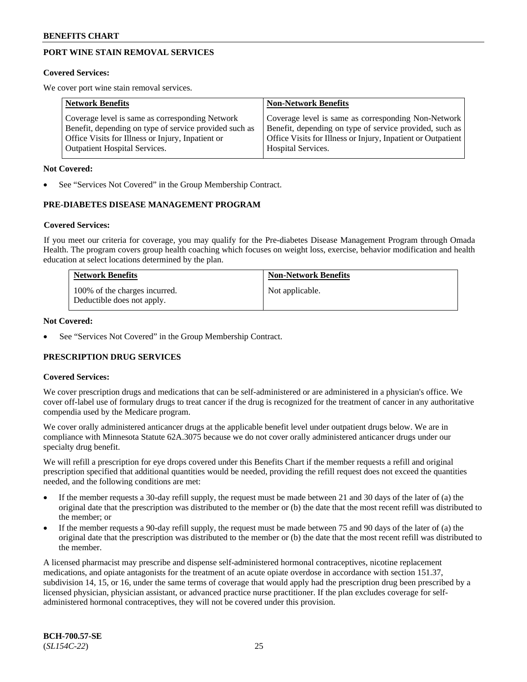## **PORT WINE STAIN REMOVAL SERVICES**

#### **Covered Services:**

We cover port wine stain removal services.

| <b>Network Benefits</b>                                | <b>Non-Network Benefits</b>                                  |
|--------------------------------------------------------|--------------------------------------------------------------|
| Coverage level is same as corresponding Network        | Coverage level is same as corresponding Non-Network          |
| Benefit, depending on type of service provided such as | Benefit, depending on type of service provided, such as      |
| Office Visits for Illness or Injury, Inpatient or      | Office Visits for Illness or Injury, Inpatient or Outpatient |
| <b>Outpatient Hospital Services.</b>                   | Hospital Services.                                           |

#### **Not Covered:**

See "Services Not Covered" in the Group Membership Contract.

### **PRE-DIABETES DISEASE MANAGEMENT PROGRAM**

#### **Covered Services:**

If you meet our criteria for coverage, you may qualify for the Pre-diabetes Disease Management Program through Omada Health. The program covers group health coaching which focuses on weight loss, exercise, behavior modification and health education at select locations determined by the plan.

| <b>Network Benefits</b>                                     | <b>Non-Network Benefits</b> |
|-------------------------------------------------------------|-----------------------------|
| 100% of the charges incurred.<br>Deductible does not apply. | Not applicable.             |

#### **Not Covered:**

See "Services Not Covered" in the Group Membership Contract.

### **PRESCRIPTION DRUG SERVICES**

### **Covered Services:**

We cover prescription drugs and medications that can be self-administered or are administered in a physician's office. We cover off-label use of formulary drugs to treat cancer if the drug is recognized for the treatment of cancer in any authoritative compendia used by the Medicare program.

We cover orally administered anticancer drugs at the applicable benefit level under outpatient drugs below. We are in compliance with Minnesota Statute 62A.3075 because we do not cover orally administered anticancer drugs under our specialty drug benefit.

We will refill a prescription for eye drops covered under this Benefits Chart if the member requests a refill and original prescription specified that additional quantities would be needed, providing the refill request does not exceed the quantities needed, and the following conditions are met:

- If the member requests a 30-day refill supply, the request must be made between 21 and 30 days of the later of (a) the original date that the prescription was distributed to the member or (b) the date that the most recent refill was distributed to the member; or
- If the member requests a 90-day refill supply, the request must be made between 75 and 90 days of the later of (a) the original date that the prescription was distributed to the member or (b) the date that the most recent refill was distributed to the member.

A licensed pharmacist may prescribe and dispense self-administered hormonal contraceptives, nicotine replacement medications, and opiate antagonists for the treatment of an acute opiate overdose in accordance with section 151.37, subdivision 14, 15, or 16, under the same terms of coverage that would apply had the prescription drug been prescribed by a licensed physician, physician assistant, or advanced practice nurse practitioner. If the plan excludes coverage for selfadministered hormonal contraceptives, they will not be covered under this provision.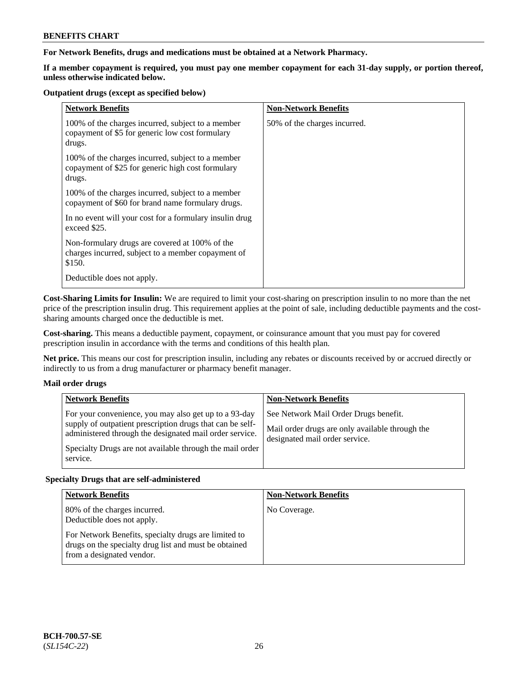### **For Network Benefits, drugs and medications must be obtained at a Network Pharmacy.**

**If a member copayment is required, you must pay one member copayment for each 31-day supply, or portion thereof, unless otherwise indicated below.**

#### **Outpatient drugs (except as specified below)**

| <b>Network Benefits</b>                                                                                          | <b>Non-Network Benefits</b>  |
|------------------------------------------------------------------------------------------------------------------|------------------------------|
| 100% of the charges incurred, subject to a member<br>copayment of \$5 for generic low cost formulary<br>drugs.   | 50% of the charges incurred. |
| 100% of the charges incurred, subject to a member<br>copayment of \$25 for generic high cost formulary<br>drugs. |                              |
| 100% of the charges incurred, subject to a member<br>copayment of \$60 for brand name formulary drugs.           |                              |
| In no event will your cost for a formulary insulin drug<br>exceed \$25.                                          |                              |
| Non-formulary drugs are covered at 100% of the<br>charges incurred, subject to a member copayment of<br>\$150.   |                              |
| Deductible does not apply.                                                                                       |                              |

**Cost-Sharing Limits for Insulin:** We are required to limit your cost-sharing on prescription insulin to no more than the net price of the prescription insulin drug. This requirement applies at the point of sale, including deductible payments and the costsharing amounts charged once the deductible is met.

**Cost-sharing.** This means a deductible payment, copayment, or coinsurance amount that you must pay for covered prescription insulin in accordance with the terms and conditions of this health plan.

**Net price.** This means our cost for prescription insulin, including any rebates or discounts received by or accrued directly or indirectly to us from a drug manufacturer or pharmacy benefit manager.

### **Mail order drugs**

| <b>Network Benefits</b>                                                                                                                                                                                                                               | <b>Non-Network Benefits</b>                                                                                                |
|-------------------------------------------------------------------------------------------------------------------------------------------------------------------------------------------------------------------------------------------------------|----------------------------------------------------------------------------------------------------------------------------|
| For your convenience, you may also get up to a 93-day<br>supply of outpatient prescription drugs that can be self-<br>administered through the designated mail order service.<br>Specialty Drugs are not available through the mail order<br>service. | See Network Mail Order Drugs benefit.<br>Mail order drugs are only available through the<br>designated mail order service. |

### **Specialty Drugs that are self-administered**

| <b>Network Benefits</b>                                                                                                                    | <b>Non-Network Benefits</b> |
|--------------------------------------------------------------------------------------------------------------------------------------------|-----------------------------|
| 80% of the charges incurred.<br>Deductible does not apply.                                                                                 | No Coverage.                |
| For Network Benefits, specialty drugs are limited to<br>drugs on the specialty drug list and must be obtained<br>from a designated vendor. |                             |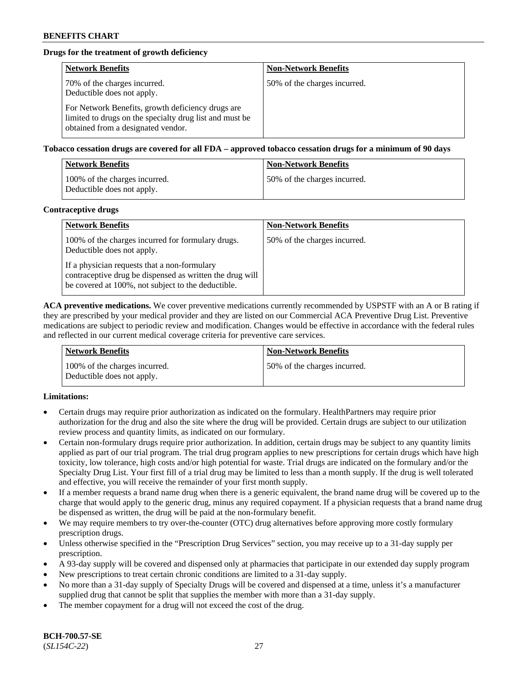## **Drugs for the treatment of growth deficiency**

| <b>Network Benefits</b>                                                                                                                            | <b>Non-Network Benefits</b>  |
|----------------------------------------------------------------------------------------------------------------------------------------------------|------------------------------|
| 70% of the charges incurred.<br>Deductible does not apply.                                                                                         | 50% of the charges incurred. |
| For Network Benefits, growth deficiency drugs are<br>limited to drugs on the specialty drug list and must be<br>obtained from a designated vendor. |                              |

#### **Tobacco cessation drugs are covered for all FDA – approved tobacco cessation drugs for a minimum of 90 days**

| <b>Network Benefits</b>                                     | <b>Non-Network Benefits</b>  |
|-------------------------------------------------------------|------------------------------|
| 100% of the charges incurred.<br>Deductible does not apply. | 50% of the charges incurred. |

#### **Contraceptive drugs**

| <b>Network Benefits</b>                                                                                                                                        | <b>Non-Network Benefits</b>  |
|----------------------------------------------------------------------------------------------------------------------------------------------------------------|------------------------------|
| 100% of the charges incurred for formulary drugs.<br>Deductible does not apply.                                                                                | 50% of the charges incurred. |
| If a physician requests that a non-formulary<br>contraceptive drug be dispensed as written the drug will<br>be covered at 100%, not subject to the deductible. |                              |

**ACA preventive medications.** We cover preventive medications currently recommended by USPSTF with an A or B rating if they are prescribed by your medical provider and they are listed on our Commercial ACA Preventive Drug List. Preventive medications are subject to periodic review and modification. Changes would be effective in accordance with the federal rules and reflected in our current medical coverage criteria for preventive care services.

| <b>Network Benefits</b>                                     | <b>Non-Network Benefits</b>  |
|-------------------------------------------------------------|------------------------------|
| 100% of the charges incurred.<br>Deductible does not apply. | 50% of the charges incurred. |

### **Limitations:**

- Certain drugs may require prior authorization as indicated on the formulary. HealthPartners may require prior authorization for the drug and also the site where the drug will be provided. Certain drugs are subject to our utilization review process and quantity limits, as indicated on our formulary.
- Certain non-formulary drugs require prior authorization. In addition, certain drugs may be subject to any quantity limits applied as part of our trial program. The trial drug program applies to new prescriptions for certain drugs which have high toxicity, low tolerance, high costs and/or high potential for waste. Trial drugs are indicated on the formulary and/or the Specialty Drug List. Your first fill of a trial drug may be limited to less than a month supply. If the drug is well tolerated and effective, you will receive the remainder of your first month supply.
- If a member requests a brand name drug when there is a generic equivalent, the brand name drug will be covered up to the charge that would apply to the generic drug, minus any required copayment. If a physician requests that a brand name drug be dispensed as written, the drug will be paid at the non-formulary benefit.
- We may require members to try over-the-counter (OTC) drug alternatives before approving more costly formulary prescription drugs.
- Unless otherwise specified in the "Prescription Drug Services" section, you may receive up to a 31-day supply per prescription.
- A 93-day supply will be covered and dispensed only at pharmacies that participate in our extended day supply program
- New prescriptions to treat certain chronic conditions are limited to a 31-day supply.
- No more than a 31-day supply of Specialty Drugs will be covered and dispensed at a time, unless it's a manufacturer supplied drug that cannot be split that supplies the member with more than a 31-day supply.
- The member copayment for a drug will not exceed the cost of the drug.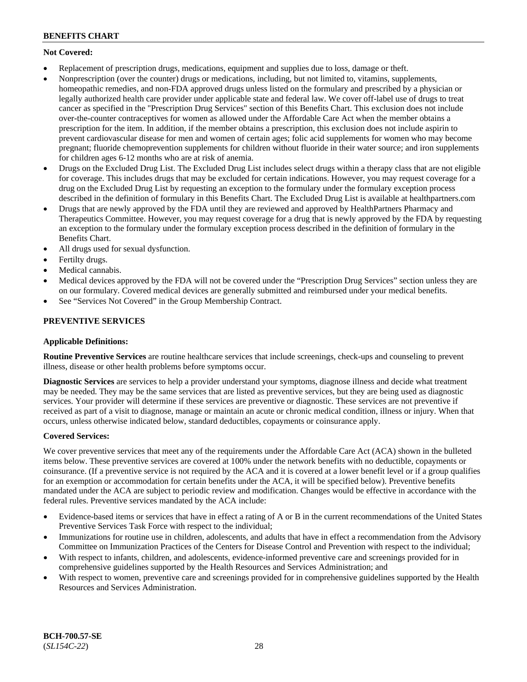## **Not Covered:**

- Replacement of prescription drugs, medications, equipment and supplies due to loss, damage or theft.
- Nonprescription (over the counter) drugs or medications, including, but not limited to, vitamins, supplements, homeopathic remedies, and non-FDA approved drugs unless listed on the formulary and prescribed by a physician or legally authorized health care provider under applicable state and federal law. We cover off-label use of drugs to treat cancer as specified in the "Prescription Drug Services" section of this Benefits Chart. This exclusion does not include over-the-counter contraceptives for women as allowed under the Affordable Care Act when the member obtains a prescription for the item. In addition, if the member obtains a prescription, this exclusion does not include aspirin to prevent cardiovascular disease for men and women of certain ages; folic acid supplements for women who may become pregnant; fluoride chemoprevention supplements for children without fluoride in their water source; and iron supplements for children ages 6-12 months who are at risk of anemia.
- Drugs on the Excluded Drug List. The Excluded Drug List includes select drugs within a therapy class that are not eligible for coverage. This includes drugs that may be excluded for certain indications. However, you may request coverage for a drug on the Excluded Drug List by requesting an exception to the formulary under the formulary exception process described in the definition of formulary in this Benefits Chart. The Excluded Drug List is available at [healthpartners.com](http://www.healthpartners.com/)
- Drugs that are newly approved by the FDA until they are reviewed and approved by HealthPartners Pharmacy and Therapeutics Committee. However, you may request coverage for a drug that is newly approved by the FDA by requesting an exception to the formulary under the formulary exception process described in the definition of formulary in the Benefits Chart.
- All drugs used for sexual dysfunction.
- Fertilty drugs.
- Medical cannabis.
- Medical devices approved by the FDA will not be covered under the "Prescription Drug Services" section unless they are on our formulary. Covered medical devices are generally submitted and reimbursed under your medical benefits.
- See "Services Not Covered" in the Group Membership Contract.

## **PREVENTIVE SERVICES**

### **Applicable Definitions:**

**Routine Preventive Services** are routine healthcare services that include screenings, check-ups and counseling to prevent illness, disease or other health problems before symptoms occur.

**Diagnostic Services** are services to help a provider understand your symptoms, diagnose illness and decide what treatment may be needed. They may be the same services that are listed as preventive services, but they are being used as diagnostic services. Your provider will determine if these services are preventive or diagnostic. These services are not preventive if received as part of a visit to diagnose, manage or maintain an acute or chronic medical condition, illness or injury. When that occurs, unless otherwise indicated below, standard deductibles, copayments or coinsurance apply.

### **Covered Services:**

We cover preventive services that meet any of the requirements under the Affordable Care Act (ACA) shown in the bulleted items below. These preventive services are covered at 100% under the network benefits with no deductible, copayments or coinsurance. (If a preventive service is not required by the ACA and it is covered at a lower benefit level or if a group qualifies for an exemption or accommodation for certain benefits under the ACA, it will be specified below). Preventive benefits mandated under the ACA are subject to periodic review and modification. Changes would be effective in accordance with the federal rules. Preventive services mandated by the ACA include:

- Evidence-based items or services that have in effect a rating of A or B in the current recommendations of the United States Preventive Services Task Force with respect to the individual;
- Immunizations for routine use in children, adolescents, and adults that have in effect a recommendation from the Advisory Committee on Immunization Practices of the Centers for Disease Control and Prevention with respect to the individual;
- With respect to infants, children, and adolescents, evidence-informed preventive care and screenings provided for in comprehensive guidelines supported by the Health Resources and Services Administration; and
- With respect to women, preventive care and screenings provided for in comprehensive guidelines supported by the Health Resources and Services Administration.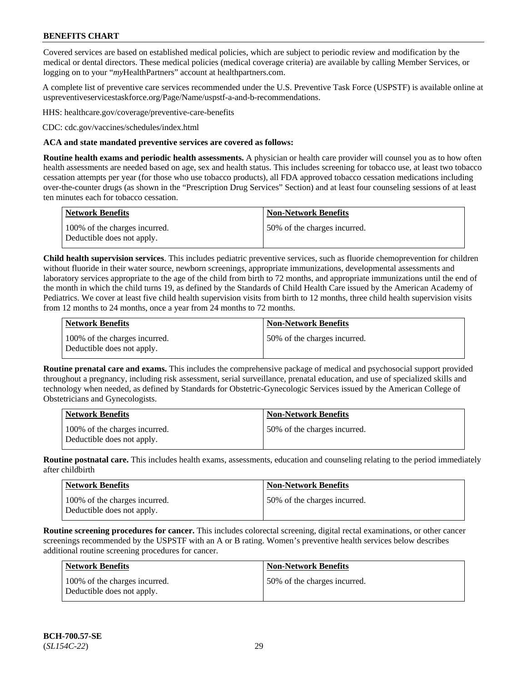Covered services are based on established medical policies, which are subject to periodic review and modification by the medical or dental directors. These medical policies (medical coverage criteria) are available by calling Member Services, or logging on to your "*my*HealthPartners" account at [healthpartners.com.](http://www.healthpartners.com/)

A complete list of preventive care services recommended under the U.S. Preventive Task Force (USPSTF) is available online at [uspreventiveservicestaskforce.org/Page/Name/uspstf-a-and-b-recommendations.](https://www.uspreventiveservicestaskforce.org/Page/Name/uspstf-a-and-b-recommendations-by-date/)

HHS: [healthcare.gov/coverage/preventive-care-benefits](https://www.healthcare.gov/coverage/preventive-care-benefits/)

CDC: [cdc.gov/vaccines/schedules/index.html](https://www.cdc.gov/vaccines/schedules/index.html)

#### **ACA and state mandated preventive services are covered as follows:**

**Routine health exams and periodic health assessments.** A physician or health care provider will counsel you as to how often health assessments are needed based on age, sex and health status. This includes screening for tobacco use, at least two tobacco cessation attempts per year (for those who use tobacco products), all FDA approved tobacco cessation medications including over-the-counter drugs (as shown in the "Prescription Drug Services" Section) and at least four counseling sessions of at least ten minutes each for tobacco cessation.

| Network Benefits                                            | <b>Non-Network Benefits</b>  |
|-------------------------------------------------------------|------------------------------|
| 100% of the charges incurred.<br>Deductible does not apply. | 50% of the charges incurred. |

**Child health supervision services**. This includes pediatric preventive services, such as fluoride chemoprevention for children without fluoride in their water source, newborn screenings, appropriate immunizations, developmental assessments and laboratory services appropriate to the age of the child from birth to 72 months, and appropriate immunizations until the end of the month in which the child turns 19, as defined by the Standards of Child Health Care issued by the American Academy of Pediatrics. We cover at least five child health supervision visits from birth to 12 months, three child health supervision visits from 12 months to 24 months, once a year from 24 months to 72 months.

| Network Benefits                                            | <b>Non-Network Benefits</b>  |
|-------------------------------------------------------------|------------------------------|
| 100% of the charges incurred.<br>Deductible does not apply. | 50% of the charges incurred. |

**Routine prenatal care and exams.** This includes the comprehensive package of medical and psychosocial support provided throughout a pregnancy, including risk assessment, serial surveillance, prenatal education, and use of specialized skills and technology when needed, as defined by Standards for Obstetric-Gynecologic Services issued by the American College of Obstetricians and Gynecologists.

| <b>Network Benefits</b>                                     | Non-Network Benefits         |
|-------------------------------------------------------------|------------------------------|
| 100% of the charges incurred.<br>Deductible does not apply. | 50% of the charges incurred. |

**Routine postnatal care.** This includes health exams, assessments, education and counseling relating to the period immediately after childbirth

| <b>Network Benefits</b>                                     | <b>Non-Network Benefits</b>  |
|-------------------------------------------------------------|------------------------------|
| 100% of the charges incurred.<br>Deductible does not apply. | 50% of the charges incurred. |

**Routine screening procedures for cancer.** This includes colorectal screening, digital rectal examinations, or other cancer screenings recommended by the USPSTF with an A or B rating. Women's preventive health services below describes additional routine screening procedures for cancer.

| <b>Network Benefits</b>                                     | <b>Non-Network Benefits</b>  |
|-------------------------------------------------------------|------------------------------|
| 100% of the charges incurred.<br>Deductible does not apply. | 50% of the charges incurred. |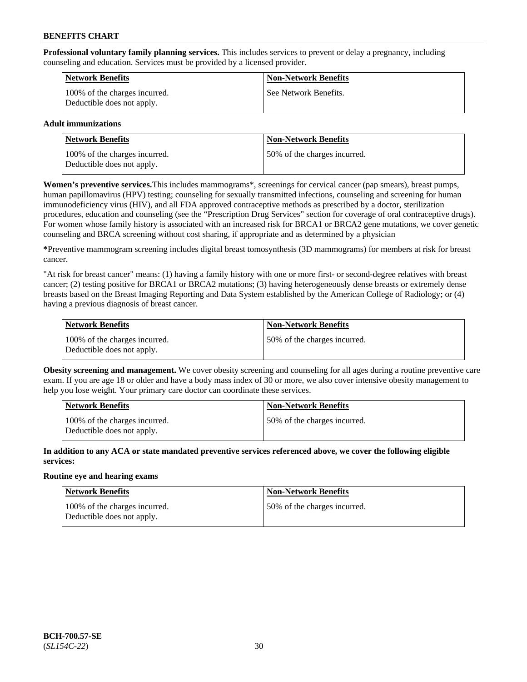**Professional voluntary family planning services.** This includes services to prevent or delay a pregnancy, including counseling and education. Services must be provided by a licensed provider.

| <b>Network Benefits</b>                                     | <b>Non-Network Benefits</b> |
|-------------------------------------------------------------|-----------------------------|
| 100% of the charges incurred.<br>Deductible does not apply. | See Network Benefits.       |

### **Adult immunizations**

| <b>Network Benefits</b>                                     | <b>Non-Network Benefits</b>  |
|-------------------------------------------------------------|------------------------------|
| 100% of the charges incurred.<br>Deductible does not apply. | 50% of the charges incurred. |

**Women's preventive services.**This includes mammograms\*, screenings for cervical cancer (pap smears), breast pumps, human papillomavirus (HPV) testing; counseling for sexually transmitted infections, counseling and screening for human immunodeficiency virus (HIV), and all FDA approved contraceptive methods as prescribed by a doctor, sterilization procedures, education and counseling (see the "Prescription Drug Services" section for coverage of oral contraceptive drugs). For women whose family history is associated with an increased risk for BRCA1 or BRCA2 gene mutations, we cover genetic counseling and BRCA screening without cost sharing, if appropriate and as determined by a physician

**\***Preventive mammogram screening includes digital breast tomosynthesis (3D mammograms) for members at risk for breast cancer.

"At risk for breast cancer" means: (1) having a family history with one or more first- or second-degree relatives with breast cancer; (2) testing positive for BRCA1 or BRCA2 mutations; (3) having heterogeneously dense breasts or extremely dense breasts based on the Breast Imaging Reporting and Data System established by the American College of Radiology; or (4) having a previous diagnosis of breast cancer.

| Network Benefits                                            | <b>Non-Network Benefits</b>  |
|-------------------------------------------------------------|------------------------------|
| 100% of the charges incurred.<br>Deductible does not apply. | 50% of the charges incurred. |

**Obesity screening and management.** We cover obesity screening and counseling for all ages during a routine preventive care exam. If you are age 18 or older and have a body mass index of 30 or more, we also cover intensive obesity management to help you lose weight. Your primary care doctor can coordinate these services.

| <b>Network Benefits</b>                                     | <b>Non-Network Benefits</b>   |
|-------------------------------------------------------------|-------------------------------|
| 100% of the charges incurred.<br>Deductible does not apply. | 150% of the charges incurred. |

**In addition to any ACA or state mandated preventive services referenced above, we cover the following eligible services:**

#### **Routine eye and hearing exams**

| Network Benefits                                            | <b>Non-Network Benefits</b>  |
|-------------------------------------------------------------|------------------------------|
| 100% of the charges incurred.<br>Deductible does not apply. | 50% of the charges incurred. |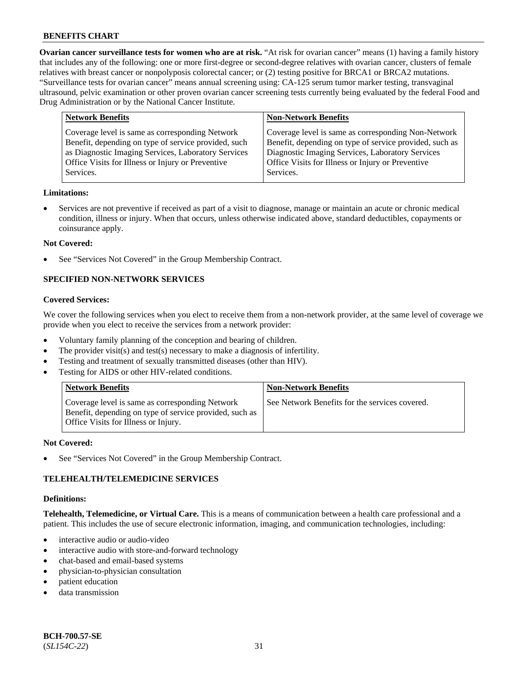**Ovarian cancer surveillance tests for women who are at risk.** "At risk for ovarian cancer" means (1) having a family history that includes any of the following: one or more first-degree or second-degree relatives with ovarian cancer, clusters of female relatives with breast cancer or nonpolyposis colorectal cancer; or (2) testing positive for BRCA1 or BRCA2 mutations. "Surveillance tests for ovarian cancer" means annual screening using: CA-125 serum tumor marker testing, transvaginal ultrasound, pelvic examination or other proven ovarian cancer screening tests currently being evaluated by the federal Food and Drug Administration or by the National Cancer Institute.

| <b>Network Benefits</b>                                                                                                                                                                                                          | <b>Non-Network Benefits</b>                                                                                                                                                                                                          |
|----------------------------------------------------------------------------------------------------------------------------------------------------------------------------------------------------------------------------------|--------------------------------------------------------------------------------------------------------------------------------------------------------------------------------------------------------------------------------------|
| Coverage level is same as corresponding Network<br>Benefit, depending on type of service provided, such<br>as Diagnostic Imaging Services, Laboratory Services<br>Office Visits for Illness or Injury or Preventive<br>Services. | Coverage level is same as corresponding Non-Network<br>Benefit, depending on type of service provided, such as<br>Diagnostic Imaging Services, Laboratory Services<br>Office Visits for Illness or Injury or Preventive<br>Services. |
|                                                                                                                                                                                                                                  |                                                                                                                                                                                                                                      |

#### **Limitations:**

• Services are not preventive if received as part of a visit to diagnose, manage or maintain an acute or chronic medical condition, illness or injury. When that occurs, unless otherwise indicated above, standard deductibles, copayments or coinsurance apply.

#### **Not Covered:**

See "Services Not Covered" in the Group Membership Contract.

## **SPECIFIED NON-NETWORK SERVICES**

### **Covered Services:**

We cover the following services when you elect to receive them from a non-network provider, at the same level of coverage we provide when you elect to receive the services from a network provider:

- Voluntary family planning of the conception and bearing of children.
- The provider visit(s) and test(s) necessary to make a diagnosis of infertility.
- Testing and treatment of sexually transmitted diseases (other than HIV).
- Testing for AIDS or other HIV-related conditions.

| <b>Network Benefits</b>                                                                                                                            | <b>Non-Network Benefits</b>                    |
|----------------------------------------------------------------------------------------------------------------------------------------------------|------------------------------------------------|
| Coverage level is same as corresponding Network<br>Benefit, depending on type of service provided, such as<br>Office Visits for Illness or Injury. | See Network Benefits for the services covered. |

#### **Not Covered:**

See "Services Not Covered" in the Group Membership Contract.

### **TELEHEALTH/TELEMEDICINE SERVICES**

#### **Definitions:**

**Telehealth, Telemedicine, or Virtual Care.** This is a means of communication between a health care professional and a patient. This includes the use of secure electronic information, imaging, and communication technologies, including:

- interactive audio or audio-video
- interactive audio with store-and-forward technology
- chat-based and email-based systems
- physician-to-physician consultation
- patient education
- data transmission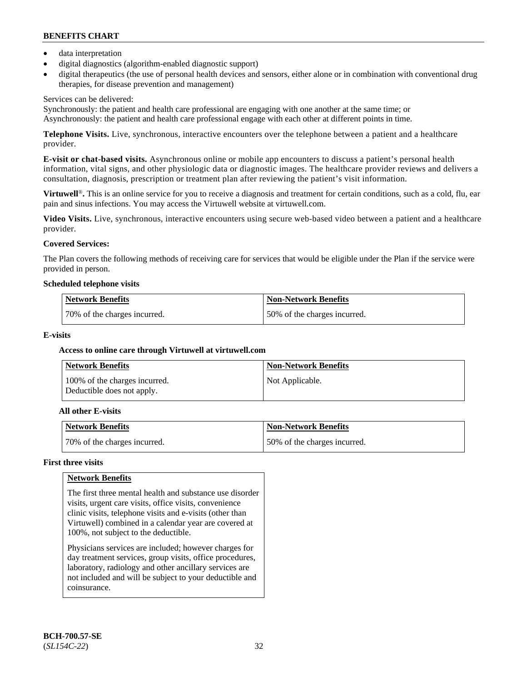- data interpretation
- digital diagnostics (algorithm-enabled diagnostic support)
- digital therapeutics (the use of personal health devices and sensors, either alone or in combination with conventional drug therapies, for disease prevention and management)

### Services can be delivered:

Synchronously: the patient and health care professional are engaging with one another at the same time; or Asynchronously: the patient and health care professional engage with each other at different points in time.

**Telephone Visits.** Live, synchronous, interactive encounters over the telephone between a patient and a healthcare provider.

**E-visit or chat-based visits.** Asynchronous online or mobile app encounters to discuss a patient's personal health information, vital signs, and other physiologic data or diagnostic images. The healthcare provider reviews and delivers a consultation, diagnosis, prescription or treatment plan after reviewing the patient's visit information.

**Virtuwell<sup>®</sup>**. This is an online service for you to receive a diagnosis and treatment for certain conditions, such as a cold, flu, ear pain and sinus infections. You may access the Virtuwell website at [virtuwell.com.](https://www.virtuwell.com/)

**Video Visits.** Live, synchronous, interactive encounters using secure web-based video between a patient and a healthcare provider.

## **Covered Services:**

The Plan covers the following methods of receiving care for services that would be eligible under the Plan if the service were provided in person.

#### **Scheduled telephone visits**

| <b>Network Benefits</b>      | Non-Network Benefits         |
|------------------------------|------------------------------|
| 70% of the charges incurred. | 50% of the charges incurred. |

### **E-visits**

### **Access to online care through Virtuwell at [virtuwell.com](https://www.virtuwell.com/)**

| <b>Network Benefits</b>                                     | <b>Non-Network Benefits</b> |
|-------------------------------------------------------------|-----------------------------|
| 100% of the charges incurred.<br>Deductible does not apply. | Not Applicable.             |

### **All other E-visits**

| Network Benefits             | Non-Network Benefits         |
|------------------------------|------------------------------|
| 70% of the charges incurred. | 50% of the charges incurred. |

### **First three visits**

### **Network Benefits**

The first three mental health and substance use disorder visits, urgent care visits, office visits, convenience clinic visits, telephone visits and e-visits (other than Virtuwell) combined in a calendar year are covered at 100%, not subject to the deductible.

Physicians services are included; however charges for day treatment services, group visits, office procedures, laboratory, radiology and other ancillary services are not included and will be subject to your deductible and coinsurance.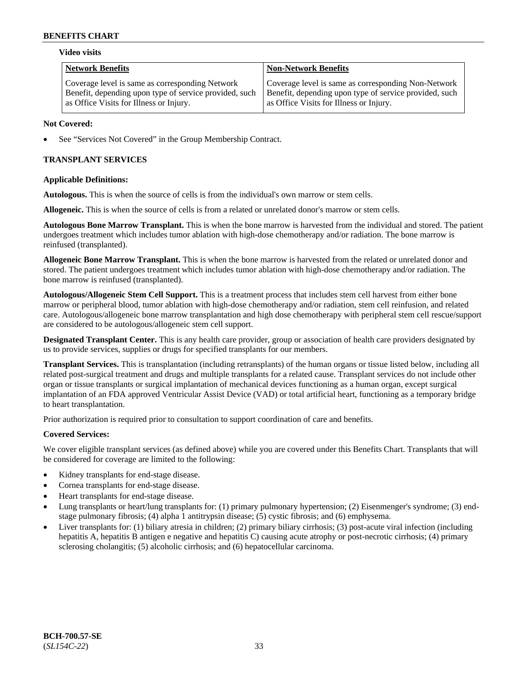#### **Video visits**

| <b>Network Benefits</b>                                | <b>Non-Network Benefits</b>                            |
|--------------------------------------------------------|--------------------------------------------------------|
| Coverage level is same as corresponding Network        | Coverage level is same as corresponding Non-Network    |
| Benefit, depending upon type of service provided, such | Benefit, depending upon type of service provided, such |
| as Office Visits for Illness or Injury.                | as Office Visits for Illness or Injury.                |

#### **Not Covered:**

See "Services Not Covered" in the Group Membership Contract.

## **TRANSPLANT SERVICES**

### **Applicable Definitions:**

**Autologous.** This is when the source of cells is from the individual's own marrow or stem cells.

**Allogeneic.** This is when the source of cells is from a related or unrelated donor's marrow or stem cells.

**Autologous Bone Marrow Transplant.** This is when the bone marrow is harvested from the individual and stored. The patient undergoes treatment which includes tumor ablation with high-dose chemotherapy and/or radiation. The bone marrow is reinfused (transplanted).

**Allogeneic Bone Marrow Transplant.** This is when the bone marrow is harvested from the related or unrelated donor and stored. The patient undergoes treatment which includes tumor ablation with high-dose chemotherapy and/or radiation. The bone marrow is reinfused (transplanted).

**Autologous/Allogeneic Stem Cell Support.** This is a treatment process that includes stem cell harvest from either bone marrow or peripheral blood, tumor ablation with high-dose chemotherapy and/or radiation, stem cell reinfusion, and related care. Autologous/allogeneic bone marrow transplantation and high dose chemotherapy with peripheral stem cell rescue/support are considered to be autologous/allogeneic stem cell support.

**Designated Transplant Center.** This is any health care provider, group or association of health care providers designated by us to provide services, supplies or drugs for specified transplants for our members.

**Transplant Services.** This is transplantation (including retransplants) of the human organs or tissue listed below, including all related post-surgical treatment and drugs and multiple transplants for a related cause. Transplant services do not include other organ or tissue transplants or surgical implantation of mechanical devices functioning as a human organ, except surgical implantation of an FDA approved Ventricular Assist Device (VAD) or total artificial heart, functioning as a temporary bridge to heart transplantation.

Prior authorization is required prior to consultation to support coordination of care and benefits.

### **Covered Services:**

We cover eligible transplant services (as defined above) while you are covered under this Benefits Chart. Transplants that will be considered for coverage are limited to the following:

- Kidney transplants for end-stage disease.
- Cornea transplants for end-stage disease.
- Heart transplants for end-stage disease.
- Lung transplants or heart/lung transplants for: (1) primary pulmonary hypertension; (2) Eisenmenger's syndrome; (3) endstage pulmonary fibrosis; (4) alpha 1 antitrypsin disease; (5) cystic fibrosis; and (6) emphysema.
- Liver transplants for: (1) biliary atresia in children; (2) primary biliary cirrhosis; (3) post-acute viral infection (including hepatitis A, hepatitis B antigen e negative and hepatitis C) causing acute atrophy or post-necrotic cirrhosis; (4) primary sclerosing cholangitis; (5) alcoholic cirrhosis; and (6) hepatocellular carcinoma.